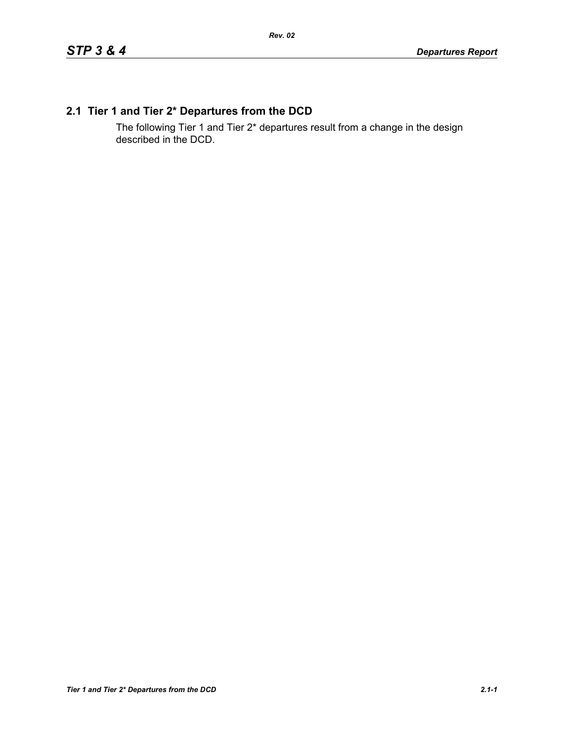## **2.1 Tier 1 and Tier 2\* Departures from the DCD**

The following Tier 1 and Tier 2\* departures result from a change in the design described in the DCD.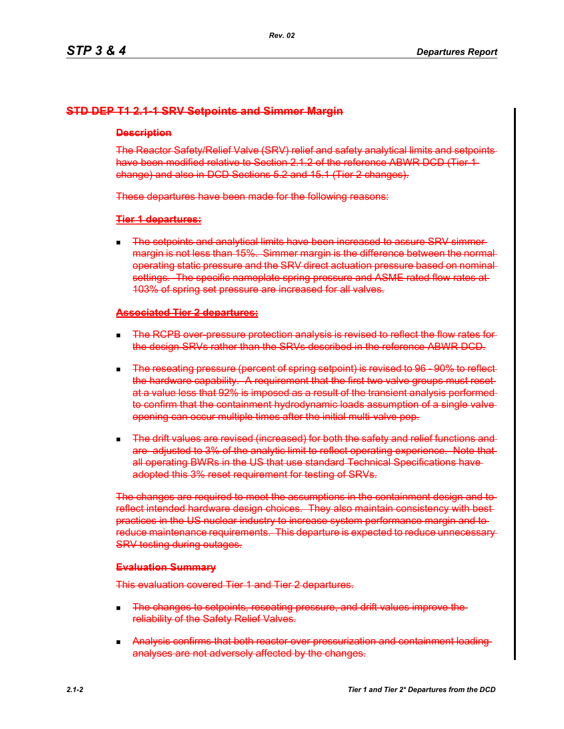## **STD DEP T1 2.1-1 SRV Setpoints and Simmer Margin**

#### **Description**

The Reactor Safety/Relief Valve (SRV) relief and safety analytical limits and setpoints have been modified relative to Section 2.1.2 of the reference ABWR DCD (Tier 1change) and also in DCD Sections 5.2 and 15.1 (Tier 2 changes).

These departures have been made for the following reasons:

### **Tier 1 departures:**

**The setpoints and analytical limits have been increased to assure SRV simmer**margin is not less than 15%. Simmer margin is the difference between the normal operating static pressure and the SRV direct actuation pressure based on nominal settings. The specific nameplate spring pressure and ASME rated flow rates at-103% of spring set pressure are increased for all valves.

#### **Associated Tier 2 departures:**

- **The RCPB over-pressure protection analysis is revised to reflect the flow rates for**the design SRVs rather than the SRVs described in the reference ABWR DCD.
- The reseating pressure (percent of spring setpoint) is revised to 96 90% to reflect the hardware capability. A requirement that the first two valve groups must reset at a value less that 92% is imposed as a result of the transient analysis performed to confirm that the containment hydrodynamic loads assumption of a single valve opening can occur multiple times after the initial multi-valve pop.
- **The drift values are revised (increased) for both the safety and relief functions and** are adjusted to 3% of the analytic limit to reflect operating experience. Note that all operating BWRs in the US that use standard Technical Specifications have adopted this 3% reset requirement for testing of SRVs.

The changes are required to meet the assumptions in the containment design and to reflect intended hardware design choices. They also maintain consistency with best practices in the US nuclear industry to increase system performance margin and to reduce maintenance requirements. This departure is expected to reduce unnecessary SRV testing during outages.

#### **Evaluation Summary**

This evaluation covered Tier 1 and Tier 2 departures.

- **The changes to setpoints, reseating pressure, and drift values improve the** reliability of the Safety Relief Valves.
- **Analysis confirms that both reactor over pressurization and containment loading** analyses are not adversely affected by the changes.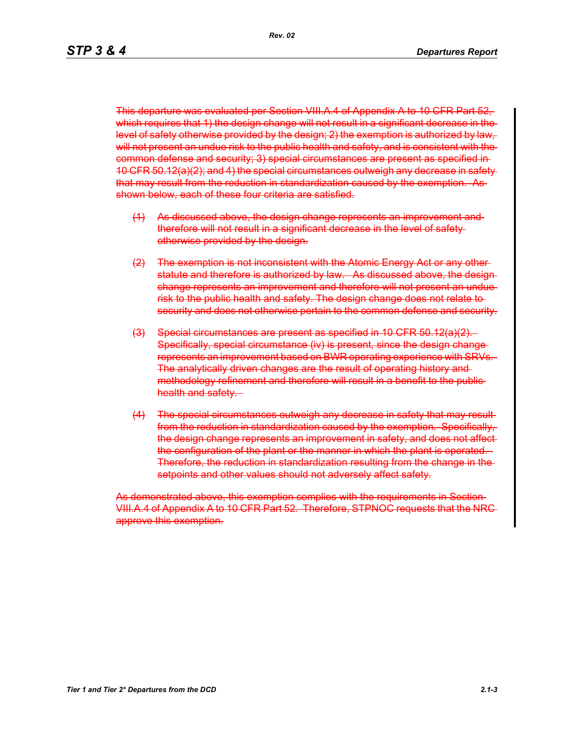This departure was evaluated per Section VIII.A.4 of Appendix A to 10 CFR Part 52, which requires that 1) the design change will not result in a significant decrease in the level of safety otherwise provided by the design; 2) the exemption is authorized by law, will not present an undue risk to the public health and safety, and is consistent with the common defense and security; 3) special circumstances are present as specified in 10 CFR 50.12(a)(2); and 4) the special circumstances outweigh any decrease in safety that may result from the reduction in standardization caused by the exemption. As shown below, each of these four criteria are satisfied.

- (1) As discussed above, the design change represents an improvement and therefore will not result in a significant decrease in the level of safety otherwise provided by the design.
- (2) The exemption is not inconsistent with the Atomic Energy Act or any other statute and therefore is authorized by law. As discussed above, the design change represents an improvement and therefore will not present an undue risk to the public health and safety. The design change does not relate to security and does not otherwise pertain to the common defense and security.
- (3) Special circumstances are present as specified in 10 CFR 50.12(a)(2). Specifically, special circumstance (iv) is present, since the design changerepresents an improvement based on BWR operating experience with SRVs. The analytically driven changes are the result of operating history and methodology refinement and therefore will result in a benefit to the public health and safety.
- (4) The special circumstances outweigh any decrease in safety that may result from the reduction in standardization caused by the exemption. Specifically, the design change represents an improvement in safety, and does not affect the configuration of the plant or the manner in which the plant is operated. Therefore, the reduction in standardization resulting from the change in the setpoints and other values should not adversely affect safety.

As demonstrated above, this exemption complies with the requirements in Section VIII.A.4 of Appendix A to 10 CFR Part 52. Therefore, STPNOC requests that the NRC approve this exemption.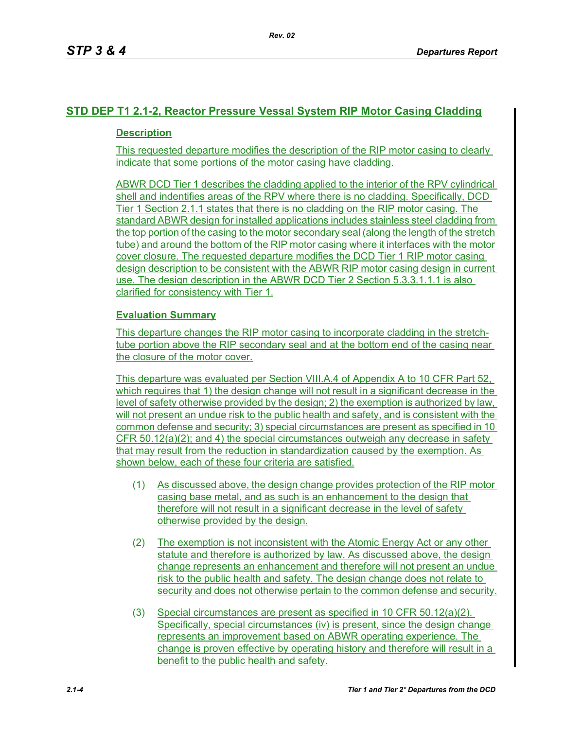## **STD DEP T1 2.1-2, Reactor Pressure Vessal System RIP Motor Casing Cladding**

## **Description**

This requested departure modifies the description of the RIP motor casing to clearly indicate that some portions of the motor casing have cladding.

ABWR DCD Tier 1 describes the cladding applied to the interior of the RPV cylindrical shell and indentifies areas of the RPV where there is no cladding. Specifically, DCD Tier 1 Section 2.1.1 states that there is no cladding on the RIP motor casing. The standard ABWR design for installed applications includes stainless steel cladding from the top portion of the casing to the motor secondary seal (along the length of the stretch tube) and around the bottom of the RIP motor casing where it interfaces with the motor cover closure. The requested departure modifies the DCD Tier 1 RIP motor casing design description to be consistent with the ABWR RIP motor casing design in current use. The design description in the ABWR DCD Tier 2 Section 5.3.3.1.1.1 is also clarified for consistency with Tier 1.

## **Evaluation Summary**

This departure changes the RIP motor casing to incorporate cladding in the stretchtube portion above the RIP secondary seal and at the bottom end of the casing near the closure of the motor cover.

This departure was evaluated per Section VIII.A.4 of Appendix A to 10 CFR Part 52, which requires that 1) the design change will not result in a significant decrease in the level of safety otherwise provided by the design; 2) the exemption is authorized by law, will not present an undue risk to the public health and safety, and is consistent with the common defense and security; 3) special circumstances are present as specified in 10 CFR 50.12(a)(2); and 4) the special circumstances outweigh any decrease in safety that may result from the reduction in standardization caused by the exemption. As shown below, each of these four criteria are satisfied.

- (1) As discussed above, the design change provides protection of the RIP motor casing base metal, and as such is an enhancement to the design that therefore will not result in a significant decrease in the level of safety otherwise provided by the design.
- (2) The exemption is not inconsistent with the Atomic Energy Act or any other statute and therefore is authorized by law. As discussed above, the design change represents an enhancement and therefore will not present an undue risk to the public health and safety. The design change does not relate to security and does not otherwise pertain to the common defense and security.
- (3) Special circumstances are present as specified in 10 CFR 50.12(a)(2). Specifically, special circumstances (iv) is present, since the design change represents an improvement based on ABWR operating experience. The change is proven effective by operating history and therefore will result in a benefit to the public health and safety.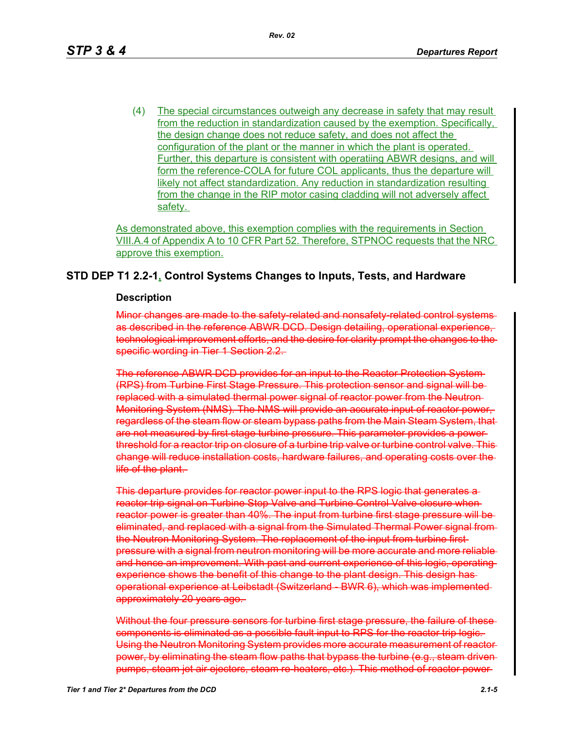(4) The special circumstances outweigh any decrease in safety that may result from the reduction in standardization caused by the exemption. Specifically, the design change does not reduce safety, and does not affect the configuration of the plant or the manner in which the plant is operated. Further, this departure is consistent with operatiing ABWR designs, and will form the reference-COLA for future COL applicants, thus the departure will likely not affect standardization. Any reduction in standardization resulting from the change in the RIP motor casing cladding will not adversely affect safety.

As demonstrated above, this exemption complies with the requirements in Section VIII.A.4 of Appendix A to 10 CFR Part 52. Therefore, STPNOC requests that the NRC approve this exemption.

## **STD DEP T1 2.2-1, Control Systems Changes to Inputs, Tests, and Hardware**

#### **Description**

Minor changes are made to the safety-related and nonsafety-related control systems as described in the reference ABWR DCD. Design detailing, operational experience, technological improvement efforts, and the desire for clarity prompt the changes to the specific wording in Tier 1 Section 2.2.

The reference ABWR DCD provides for an input to the Reactor Protection System (RPS) from Turbine First Stage Pressure. This protection sensor and signal will be replaced with a simulated thermal power signal of reactor power from the Neutron Monitoring System (NMS). The NMS will provide an accurate input of reactor power, regardless of the steam flow or steam bypass paths from the Main Steam System, that are not measured by first stage turbine pressure. This parameter provides a power threshold for a reactor trip on closure of a turbine trip valve or turbine control valve. This change will reduce installation costs, hardware failures, and operating costs over the life of the plant.

This departure provides for reactor power input to the RPS logic that generates a reactor trip signal on Turbine Stop Valve and Turbine Control Valve closure when reactor power is greater than 40%. The input from turbine first stage pressure will be eliminated, and replaced with a signal from the Simulated Thermal Power signal from the Neutron Monitoring System. The replacement of the input from turbine first pressure with a signal from neutron monitoring will be more accurate and more reliable and hence an improvement. With past and current experience of this logic, operating experience shows the benefit of this change to the plant design. This design has operational experience at Leibstadt (Switzerland - BWR 6), which was implemented approximately 20 years ago.

Without the four pressure sensors for turbine first stage pressure, the failure of thesecomponents is eliminated as a possible fault input to RPS for the reactor trip logic. Using the Neutron Monitoring System provides more accurate measurement of reactor power, by eliminating the steam flow paths that bypass the turbine (e.g., steam driven pumps, steam jet air ejectors, steam re-heaters, etc.). This method of reactor power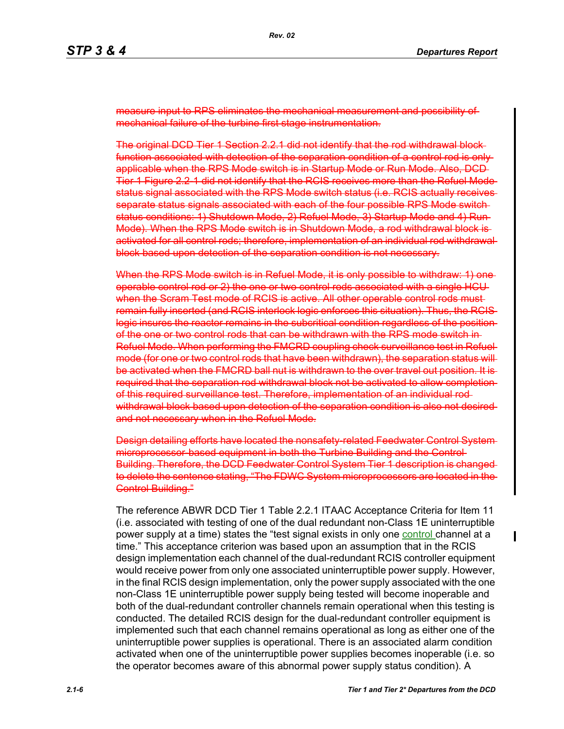measure input to RPS eliminates the mechanical measurement and possibility mechanical failure of the turbine first stage instrumentation.

The original DCD Tier 1 Section 2.2.1 did not identify that the rod withdrawal block function associated with detection of the separation condition of a control rod is only applicable when the RPS Mode switch is in Startup Mode or Run Mode. Also, DCD Tier 1 Figure 2.2-1 did not identify that the RCIS receives more than the Refuel Mode status signal associated with the RPS Mode switch status (i.e. RCIS actually receives separate status signals associated with each of the four possible RPS Mode switch status conditions: 1) Shutdown Mode, 2) Refuel Mode, 3) Startup Mode and 4) Run Mode). When the RPS Mode switch is in Shutdown Mode, a rod withdrawal block is activated for all control rods; therefore, implementation of an individual rod withdrawal block based upon detection of the separation condition is not necessary.

When the RPS Mode switch is in Refuel Mode, it is only possible to withdraw: 1) one operable control rod or 2) the one or two control rods associated with a single HCU when the Scram Test mode of RCIS is active. All other operable control rods mustremain fully inserted (and RCIS interlock logic enforces this situation). Thus, the RCIS logic insures the reactor remains in the subcritical condition regardless of the position of the one or two control rods that can be withdrawn with the RPS mode switch in Refuel Mode. When performing the FMCRD coupling check surveillance test in Refuel mode (for one or two control rods that have been withdrawn), the separation status will be activated when the FMCRD ball nut is withdrawn to the over travel out position. It is required that the separation rod withdrawal block not be activated to allow completion of this required surveillance test. Therefore, implementation of an individual rod withdrawal block based upon detection of the separation condition is also not desired and not necessary when in the Refuel Mode.

Design detailing efforts have located the nonsafety-related Feedwater Control microprocessor-based equipment in both the Turbine Building and the Control-Building. Therefore, the DCD Feedwater Control System Tier 1 description is changed to delete the sentence stating, "The FDWC System microprocessors are located in the Control Building."

The reference ABWR DCD Tier 1 Table 2.2.1 ITAAC Acceptance Criteria for Item 11 (i.e. associated with testing of one of the dual redundant non-Class 1E uninterruptible power supply at a time) states the "test signal exists in only one control channel at a time." This acceptance criterion was based upon an assumption that in the RCIS design implementation each channel of the dual-redundant RCIS controller equipment would receive power from only one associated uninterruptible power supply. However, in the final RCIS design implementation, only the power supply associated with the one non-Class 1E uninterruptible power supply being tested will become inoperable and both of the dual-redundant controller channels remain operational when this testing is conducted. The detailed RCIS design for the dual-redundant controller equipment is implemented such that each channel remains operational as long as either one of the uninterruptible power supplies is operational. There is an associated alarm condition activated when one of the uninterruptible power supplies becomes inoperable (i.e. so the operator becomes aware of this abnormal power supply status condition). A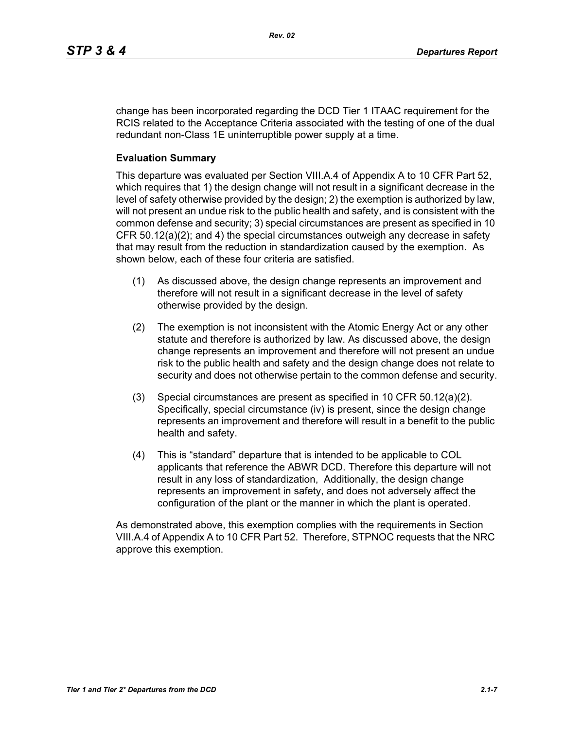change has been incorporated regarding the DCD Tier 1 ITAAC requirement for the RCIS related to the Acceptance Criteria associated with the testing of one of the dual redundant non-Class 1E uninterruptible power supply at a time.

### **Evaluation Summary**

This departure was evaluated per Section VIII.A.4 of Appendix A to 10 CFR Part 52, which requires that 1) the design change will not result in a significant decrease in the level of safety otherwise provided by the design; 2) the exemption is authorized by law, will not present an undue risk to the public health and safety, and is consistent with the common defense and security; 3) special circumstances are present as specified in 10 CFR 50.12(a)(2); and 4) the special circumstances outweigh any decrease in safety that may result from the reduction in standardization caused by the exemption. As shown below, each of these four criteria are satisfied.

- (1) As discussed above, the design change represents an improvement and therefore will not result in a significant decrease in the level of safety otherwise provided by the design.
- (2) The exemption is not inconsistent with the Atomic Energy Act or any other statute and therefore is authorized by law. As discussed above, the design change represents an improvement and therefore will not present an undue risk to the public health and safety and the design change does not relate to security and does not otherwise pertain to the common defense and security.
- (3) Special circumstances are present as specified in 10 CFR 50.12(a)(2). Specifically, special circumstance (iv) is present, since the design change represents an improvement and therefore will result in a benefit to the public health and safety.
- (4) This is "standard" departure that is intended to be applicable to COL applicants that reference the ABWR DCD. Therefore this departure will not result in any loss of standardization, Additionally, the design change represents an improvement in safety, and does not adversely affect the configuration of the plant or the manner in which the plant is operated.

As demonstrated above, this exemption complies with the requirements in Section VIII.A.4 of Appendix A to 10 CFR Part 52. Therefore, STPNOC requests that the NRC approve this exemption.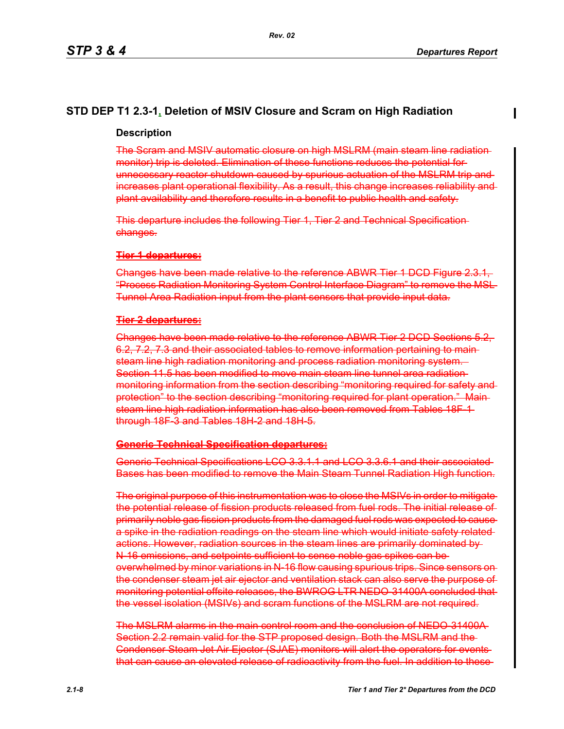## **STD DEP T1 2.3-1, Deletion of MSIV Closure and Scram on High Radiation**

#### **Description**

The Scram and MSIV automatic closure on high MSLRM (main steam line radiation monitor) trip is deleted. Elimination of these functions reduces the potential for unnecessary reactor shutdown caused by spurious actuation of the MSLRM trip and increases plant operational flexibility. As a result, this change increases reliability and plant availability and therefore results in a benefit to public health and safety.

This departure includes the following Tier 1, Tier 2 and Technical Specification changes.

#### **Tier 1 departures:**

Changes have been made relative to the reference ABWR Tier 1 DCD Figure 2.3.1, "Process Radiation Monitoring System Control Interface Diagram" to remove the MSL Tunnel Area Radiation input from the plant sensors that provide input data.

#### **Tier 2 departures:**

Changes have been made relative to the reference ABWR Tier 2 DCD Sections 5.2, 6.2, 7.2, 7.3 and their associated tables to remove information pertaining to main steam line high radiation monitoring and process radiation monitoring system. Section 11.5 has been modified to move main steam line tunnel area radiation monitoring information from the section describing "monitoring required for safety and protection" to the section describing "monitoring required for plant operation." Main steam line high radiation information has also been removed from Tables 18F-1 through 18F-3 and Tables 18H-2 and 18H-5.

#### **Generic Technical Specification departures:**

Generic Technical Specifications LCO 3.3.1.1 and LCO 3.3.6.1 and their associated Bases has been modified to remove the Main Steam Tunnel Radiation High function.

The original purpose of this instrumentation was to close the MSIVs in order to mitigate the potential release of fission products released from fuel rods. The initial release of primarily noble gas fission products from the damaged fuel rods was expected to cause a spike in the radiation readings on the steam line which would initiate safety related actions. However, radiation sources in the steam lines are primarily dominated by N-16 emissions, and setpoints sufficient to sense noble gas spikes can be overwhelmed by minor variations in N-16 flow causing spurious trips. Since sensors on the condenser steam jet air ejector and ventilation stack can also serve the purpose of monitoring potential offsite releases, the BWROG LTR NEDO-31400A concluded that the vessel isolation (MSIVs) and scram functions of the MSLRM are not required.

The MSLRM alarms in the main control room and the conclusion of NEDO-31400A Section 2.2 remain valid for the STP proposed design. Both the MSLRM and the Condenser Steam Jet Air Ejector (SJAE) monitors will alert the operators for events that can cause an elevated release of radioactivity from the fuel. In addition to these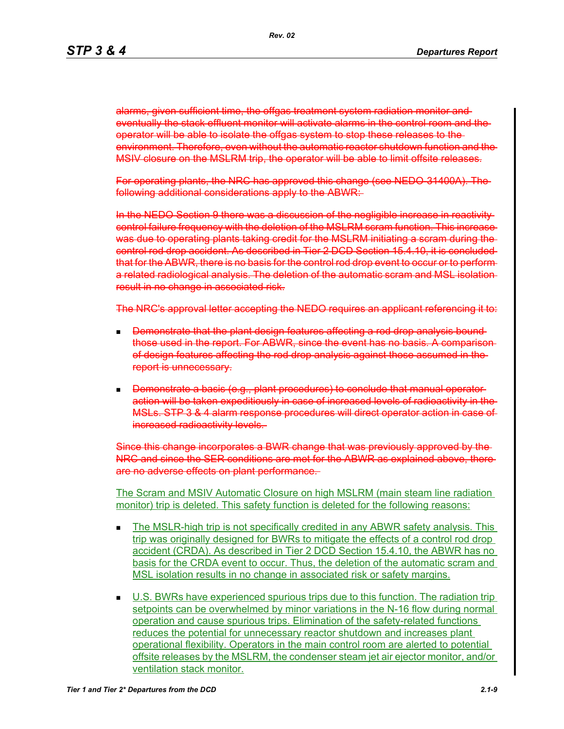alarms, given sufficient time, the offgas treatment system radiation monitor and eventually the stack effluent monitor will activate alarms in the control room and the operator will be able to isolate the offgas system to stop these releases to the environment. Therefore, even without the automatic reactor shutdown function and the MSIV closure on the MSLRM trip, the operator will be able to limit offsite releases.

For operating plants, the NRC has approved this change (see NEDO-31400A). The following additional considerations apply to the ABWR:

In the NEDO Section 9 there was a discussion of the negligible increase in reactivity control failure frequency with the deletion of the MSLRM scram function. This increase was due to operating plants taking credit for the MSLRM initiating a scram during the control rod drop accident. As described in Tier 2 DCD Section 15.4.10, it is concluded that for the ABWR, there is no basis for the control rod drop event to occur or to perform a related radiological analysis. The deletion of the automatic scram and MSL isolation result in no change in associated risk.

The NRC's approval letter accepting the NEDO requires an applicant referencing it to:

- Demonstrate that the plant design features affecting a rod drop analysis bound those used in the report. For ABWR, since the event has no basis. A comparison of design features affecting the rod drop analysis against those assumed in the report is unnecessary.
- **Demonstrate a basis (e.g., plant procedures) to conclude that manual operator**action will be taken expeditiously in case of increased levels of radioactivity in the MSLs. STP 3 & 4 alarm response procedures will direct operator action in case of increased radioactivity levels.

Since this change incorporates a BWR change that was previously approved by the NRC and since the SER conditions are met for the ABWR as explained above, there are no adverse effects on plant performance.

The Scram and MSIV Automatic Closure on high MSLRM (main steam line radiation monitor) trip is deleted. This safety function is deleted for the following reasons:

- The MSLR-high trip is not specifically credited in any ABWR safety analysis. This trip was originally designed for BWRs to mitigate the effects of a control rod drop accident (CRDA). As described in Tier 2 DCD Section 15.4.10, the ABWR has no basis for the CRDA event to occur. Thus, the deletion of the automatic scram and MSL isolation results in no change in associated risk or safety margins.
- U.S. BWRs have experienced spurious trips due to this function. The radiation trip setpoints can be overwhelmed by minor variations in the N-16 flow during normal operation and cause spurious trips. Elimination of the safety-related functions reduces the potential for unnecessary reactor shutdown and increases plant operational flexibility. Operators in the main control room are alerted to potential offsite releases by the MSLRM, the condenser steam jet air ejector monitor, and/or ventilation stack monitor.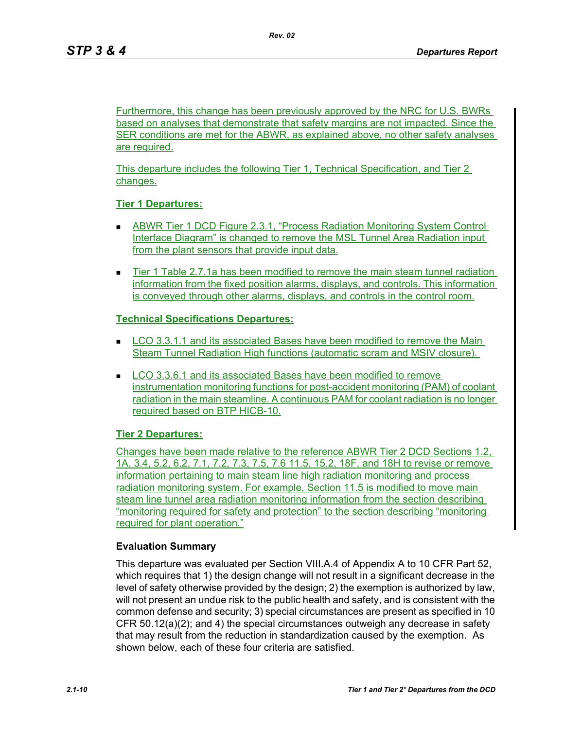Furthermore, this change has been previously approved by the NRC for U.S. BWRs based on analyses that demonstrate that safety margins are not impacted. Since the SER conditions are met for the ABWR, as explained above, no other safety analyses are required.

This departure includes the following Tier 1, Technical Specification, and Tier 2 changes.

## **Tier 1 Departures:**

- ABWR Tier 1 DCD Figure 2.3.1, "Process Radiation Monitoring System Control Interface Diagram" is changed to remove the MSL Tunnel Area Radiation input from the plant sensors that provide input data.
- **Tier 1 Table 2.7.1a has been modified to remove the main steam tunnel radiation** information from the fixed position alarms, displays, and controls. This information is conveyed through other alarms, displays, and controls in the control room.

## **Technical Specifications Departures:**

- **LCO 3.3.1.1 and its associated Bases have been modified to remove the Main** Steam Tunnel Radiation High functions (automatic scram and MSIV closure).
- LCO 3.3.6.1 and its associated Bases have been modified to remove instrumentation monitoring functions for post-accident monitoring (PAM) of coolant radiation in the main steamline. A continuous PAM for coolant radiation is no longer required based on BTP HICB-10.

## **Tier 2 Departures:**

Changes have been made relative to the reference ABWR Tier 2 DCD Sections 1.2, 1A, 3.4, 5.2, 6.2, 7.1, 7.2, 7.3, 7.5, 7.6 11.5, 15.2, 18F, and 18H to revise or remove information pertaining to main steam line high radiation monitoring and process radiation monitoring system. For example, Section 11.5 is modified to move main steam line tunnel area radiation monitoring information from the section describing "monitoring required for safety and protection" to the section describing "monitoring required for plant operation."

## **Evaluation Summary**

This departure was evaluated per Section VIII.A.4 of Appendix A to 10 CFR Part 52, which requires that 1) the design change will not result in a significant decrease in the level of safety otherwise provided by the design; 2) the exemption is authorized by law, will not present an undue risk to the public health and safety, and is consistent with the common defense and security; 3) special circumstances are present as specified in 10 CFR 50.12(a)(2); and 4) the special circumstances outweigh any decrease in safety that may result from the reduction in standardization caused by the exemption. As shown below, each of these four criteria are satisfied.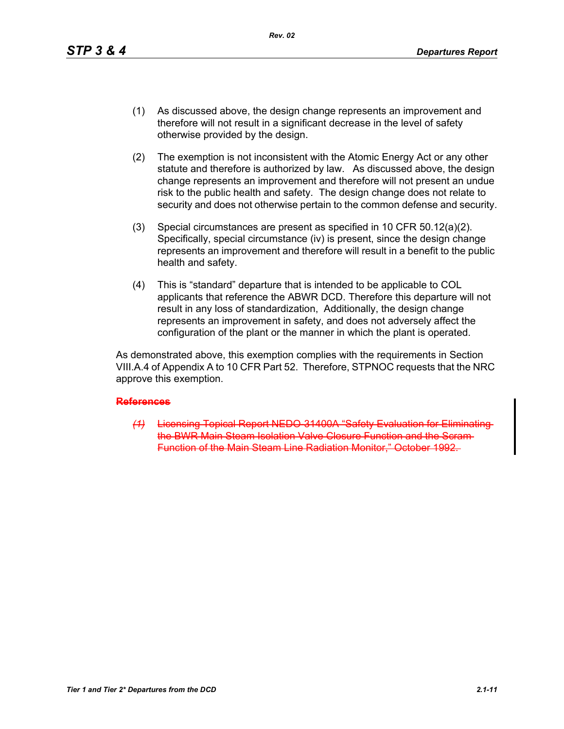- (1) As discussed above, the design change represents an improvement and therefore will not result in a significant decrease in the level of safety otherwise provided by the design.
- (2) The exemption is not inconsistent with the Atomic Energy Act or any other statute and therefore is authorized by law. As discussed above, the design change represents an improvement and therefore will not present an undue risk to the public health and safety. The design change does not relate to security and does not otherwise pertain to the common defense and security.
- (3) Special circumstances are present as specified in 10 CFR 50.12(a)(2). Specifically, special circumstance (iv) is present, since the design change represents an improvement and therefore will result in a benefit to the public health and safety.
- (4) This is "standard" departure that is intended to be applicable to COL applicants that reference the ABWR DCD. Therefore this departure will not result in any loss of standardization, Additionally, the design change represents an improvement in safety, and does not adversely affect the configuration of the plant or the manner in which the plant is operated.

As demonstrated above, this exemption complies with the requirements in Section VIII.A.4 of Appendix A to 10 CFR Part 52. Therefore, STPNOC requests that the NRC approve this exemption.

#### **References**

*(1)* Licensing Topical Report NEDO 31400A "Safety the BWR Main Steam Isolation Valve Closure Function and the Scram Function of the Main Steam Line Radiation Monitor," October 1992.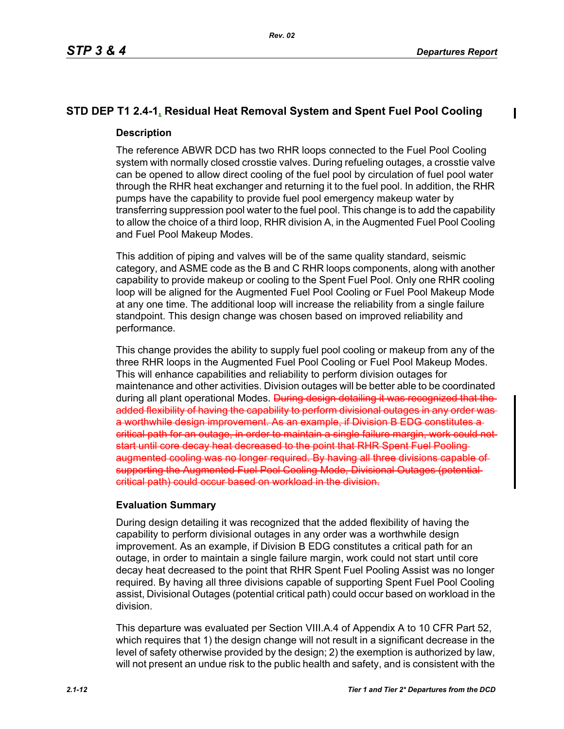# **STD DEP T1 2.4-1, Residual Heat Removal System and Spent Fuel Pool Cooling**

## **Description**

The reference ABWR DCD has two RHR loops connected to the Fuel Pool Cooling system with normally closed crosstie valves. During refueling outages, a crosstie valve can be opened to allow direct cooling of the fuel pool by circulation of fuel pool water through the RHR heat exchanger and returning it to the fuel pool. In addition, the RHR pumps have the capability to provide fuel pool emergency makeup water by transferring suppression pool water to the fuel pool. This change is to add the capability to allow the choice of a third loop, RHR division A, in the Augmented Fuel Pool Cooling and Fuel Pool Makeup Modes.

This addition of piping and valves will be of the same quality standard, seismic category, and ASME code as the B and C RHR loops components, along with another capability to provide makeup or cooling to the Spent Fuel Pool. Only one RHR cooling loop will be aligned for the Augmented Fuel Pool Cooling or Fuel Pool Makeup Mode at any one time. The additional loop will increase the reliability from a single failure standpoint. This design change was chosen based on improved reliability and performance.

This change provides the ability to supply fuel pool cooling or makeup from any of the three RHR loops in the Augmented Fuel Pool Cooling or Fuel Pool Makeup Modes. This will enhance capabilities and reliability to perform division outages for maintenance and other activities. Division outages will be better able to be coordinated during all plant operational Modes. During design detailing it was recognized that the added flexibility of having the capability to perform divisional outages in any order was a worthwhile design improvement. As an example, if Division B EDG constitutes a critical path for an outage, in order to maintain a single failure margin, work could not start until core decay heat decreased to the point that RHR Spent Fuel Pooling augmented cooling was no longer required. By having all three divisions supporting the Augmented Fuel Pool Cooling Mode, Divisional Outages (potential critical path) could occur based on workload in the division.

## **Evaluation Summary**

During design detailing it was recognized that the added flexibility of having the capability to perform divisional outages in any order was a worthwhile design improvement. As an example, if Division B EDG constitutes a critical path for an outage, in order to maintain a single failure margin, work could not start until core decay heat decreased to the point that RHR Spent Fuel Pooling Assist was no longer required. By having all three divisions capable of supporting Spent Fuel Pool Cooling assist, Divisional Outages (potential critical path) could occur based on workload in the division.

This departure was evaluated per Section VIII.A.4 of Appendix A to 10 CFR Part 52, which requires that 1) the design change will not result in a significant decrease in the level of safety otherwise provided by the design; 2) the exemption is authorized by law, will not present an undue risk to the public health and safety, and is consistent with the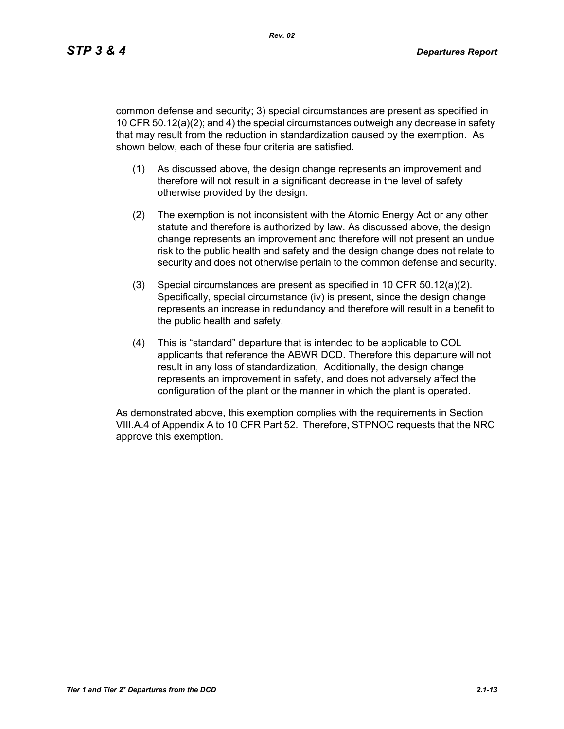common defense and security; 3) special circumstances are present as specified in 10 CFR 50.12(a)(2); and 4) the special circumstances outweigh any decrease in safety that may result from the reduction in standardization caused by the exemption. As shown below, each of these four criteria are satisfied.

- (1) As discussed above, the design change represents an improvement and therefore will not result in a significant decrease in the level of safety otherwise provided by the design.
- (2) The exemption is not inconsistent with the Atomic Energy Act or any other statute and therefore is authorized by law. As discussed above, the design change represents an improvement and therefore will not present an undue risk to the public health and safety and the design change does not relate to security and does not otherwise pertain to the common defense and security.
- (3) Special circumstances are present as specified in 10 CFR 50.12(a)(2). Specifically, special circumstance (iv) is present, since the design change represents an increase in redundancy and therefore will result in a benefit to the public health and safety.
- (4) This is "standard" departure that is intended to be applicable to COL applicants that reference the ABWR DCD. Therefore this departure will not result in any loss of standardization, Additionally, the design change represents an improvement in safety, and does not adversely affect the configuration of the plant or the manner in which the plant is operated.

As demonstrated above, this exemption complies with the requirements in Section VIII.A.4 of Appendix A to 10 CFR Part 52. Therefore, STPNOC requests that the NRC approve this exemption.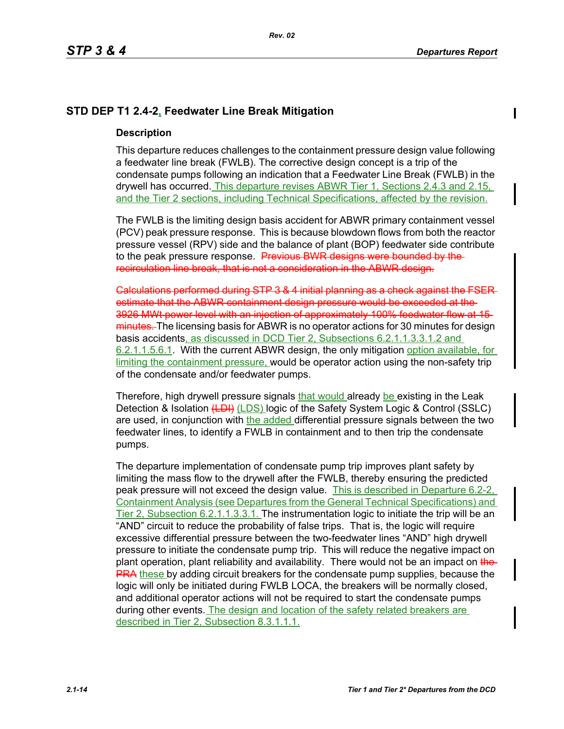## **STD DEP T1 2.4-2, Feedwater Line Break Mitigation**

### **Description**

This departure reduces challenges to the containment pressure design value following a feedwater line break (FWLB). The corrective design concept is a trip of the condensate pumps following an indication that a Feedwater Line Break (FWLB) in the drywell has occurred. This departure revises ABWR Tier 1, Sections 2.4.3 and 2.15, and the Tier 2 sections, including Technical Specifications, affected by the revision.

The FWLB is the limiting design basis accident for ABWR primary containment vessel (PCV) peak pressure response. This is because blowdown flows from both the reactor pressure vessel (RPV) side and the balance of plant (BOP) feedwater side contribute to the peak pressure response. Previous BWR designs were bounded by the recirculation line break, that is not a consideration in the ABWR design.

Calculations performed during STP 3 & 4 initial planning as a check against the FSER estimate that the ABWR containment design pressure would be exceeded at the 3926 MWt power level with an injection of approximately 100% feedwater flow at 15 minutes. The licensing basis for ABWR is no operator actions for 30 minutes for design basis accidents, as discussed in DCD Tier 2, Subsections 6.2.1.1.3.3.1.2 and 6.2.1.1.5.6.1. With the current ABWR design, the only mitigation option available, for limiting the containment pressure, would be operator action using the non-safety trip of the condensate and/or feedwater pumps.

Therefore, high drywell pressure signals that would already be existing in the Leak Detection & Isolation (LDI) (LDS) logic of the Safety System Logic & Control (SSLC) are used, in conjunction with the added differential pressure signals between the two feedwater lines, to identify a FWLB in containment and to then trip the condensate pumps.

The departure implementation of condensate pump trip improves plant safety by limiting the mass flow to the drywell after the FWLB, thereby ensuring the predicted peak pressure will not exceed the design value. This is described in Departure 6.2-2, Containment Analysis (see Departures from the General Technical Specifications) and Tier 2, Subsection 6.2.1.1.3.3.1. The instrumentation logic to initiate the trip will be an "AND" circuit to reduce the probability of false trips. That is, the logic will require excessive differential pressure between the two-feedwater lines "AND" high drywell pressure to initiate the condensate pump trip. This will reduce the negative impact on plant operation, plant reliability and availability. There would not be an impact on the-**PRA** these by adding circuit breakers for the condensate pump supplies, because the logic will only be initiated during FWLB LOCA, the breakers will be normally closed, and additional operator actions will not be required to start the condensate pumps during other events. The design and location of the safety related breakers are described in Tier 2, Subsection 8.3.1.1.1.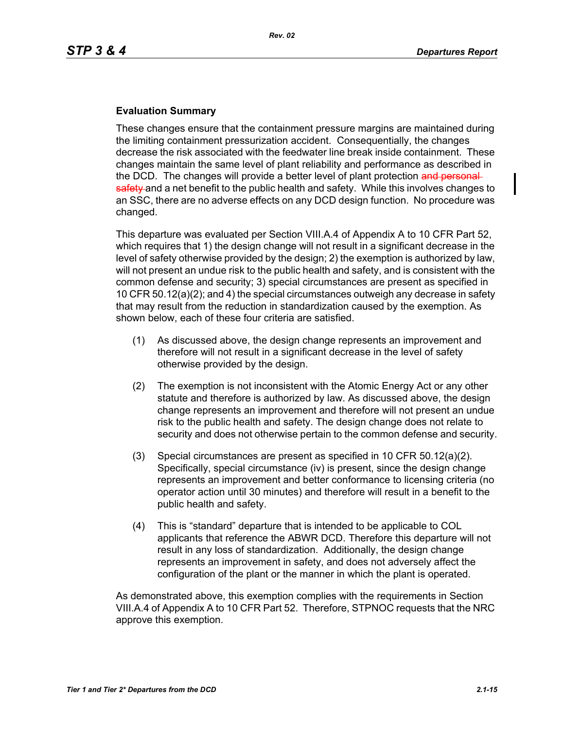## **Evaluation Summary**

These changes ensure that the containment pressure margins are maintained during the limiting containment pressurization accident. Consequentially, the changes decrease the risk associated with the feedwater line break inside containment. These changes maintain the same level of plant reliability and performance as described in the DCD. The changes will provide a better level of plant protection and personalsafety and a net benefit to the public health and safety. While this involves changes to an SSC, there are no adverse effects on any DCD design function. No procedure was changed.

This departure was evaluated per Section VIII.A.4 of Appendix A to 10 CFR Part 52, which requires that 1) the design change will not result in a significant decrease in the level of safety otherwise provided by the design; 2) the exemption is authorized by law, will not present an undue risk to the public health and safety, and is consistent with the common defense and security; 3) special circumstances are present as specified in 10 CFR 50.12(a)(2); and 4) the special circumstances outweigh any decrease in safety that may result from the reduction in standardization caused by the exemption. As shown below, each of these four criteria are satisfied.

- (1) As discussed above, the design change represents an improvement and therefore will not result in a significant decrease in the level of safety otherwise provided by the design.
- (2) The exemption is not inconsistent with the Atomic Energy Act or any other statute and therefore is authorized by law. As discussed above, the design change represents an improvement and therefore will not present an undue risk to the public health and safety. The design change does not relate to security and does not otherwise pertain to the common defense and security.
- (3) Special circumstances are present as specified in 10 CFR 50.12(a)(2). Specifically, special circumstance (iv) is present, since the design change represents an improvement and better conformance to licensing criteria (no operator action until 30 minutes) and therefore will result in a benefit to the public health and safety.
- (4) This is "standard" departure that is intended to be applicable to COL applicants that reference the ABWR DCD. Therefore this departure will not result in any loss of standardization. Additionally, the design change represents an improvement in safety, and does not adversely affect the configuration of the plant or the manner in which the plant is operated.

As demonstrated above, this exemption complies with the requirements in Section VIII.A.4 of Appendix A to 10 CFR Part 52. Therefore, STPNOC requests that the NRC approve this exemption.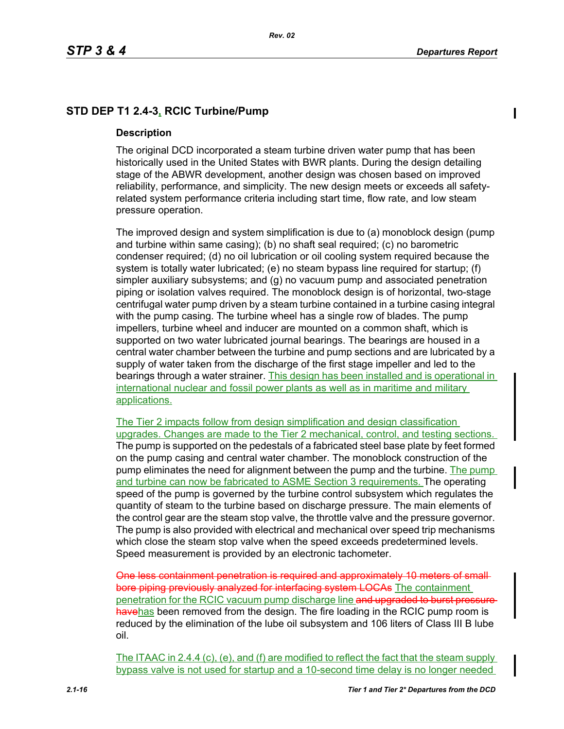## **STD DEP T1 2.4-3, RCIC Turbine/Pump**

### **Description**

The original DCD incorporated a steam turbine driven water pump that has been historically used in the United States with BWR plants. During the design detailing stage of the ABWR development, another design was chosen based on improved reliability, performance, and simplicity. The new design meets or exceeds all safetyrelated system performance criteria including start time, flow rate, and low steam pressure operation.

The improved design and system simplification is due to (a) monoblock design (pump and turbine within same casing); (b) no shaft seal required; (c) no barometric condenser required; (d) no oil lubrication or oil cooling system required because the system is totally water lubricated; (e) no steam bypass line required for startup; (f) simpler auxiliary subsystems; and (g) no vacuum pump and associated penetration piping or isolation valves required. The monoblock design is of horizontal, two-stage centrifugal water pump driven by a steam turbine contained in a turbine casing integral with the pump casing. The turbine wheel has a single row of blades. The pump impellers, turbine wheel and inducer are mounted on a common shaft, which is supported on two water lubricated journal bearings. The bearings are housed in a central water chamber between the turbine and pump sections and are lubricated by a supply of water taken from the discharge of the first stage impeller and led to the bearings through a water strainer. This design has been installed and is operational in international nuclear and fossil power plants as well as in maritime and military applications.

The Tier 2 impacts follow from design simplification and design classification upgrades. Changes are made to the Tier 2 mechanical, control, and testing sections. The pump is supported on the pedestals of a fabricated steel base plate by feet formed on the pump casing and central water chamber. The monoblock construction of the pump eliminates the need for alignment between the pump and the turbine. The pump and turbine can now be fabricated to ASME Section 3 requirements. The operating speed of the pump is governed by the turbine control subsystem which regulates the quantity of steam to the turbine based on discharge pressure. The main elements of the control gear are the steam stop valve, the throttle valve and the pressure governor. The pump is also provided with electrical and mechanical over speed trip mechanisms which close the steam stop valve when the speed exceeds predetermined levels. Speed measurement is provided by an electronic tachometer.

One less containment penetration is required and approximately 10 meters of small bore piping previously analyzed for interfacing system LOCAs The containment penetration for the RCIC vacuum pump discharge line and upgraded to burst pressure havehas been removed from the design. The fire loading in the RCIC pump room is reduced by the elimination of the lube oil subsystem and 106 liters of Class III B lube oil.

The ITAAC in 2.4.4 (c), (e), and (f) are modified to reflect the fact that the steam supply bypass valve is not used for startup and a 10-second time delay is no longer needed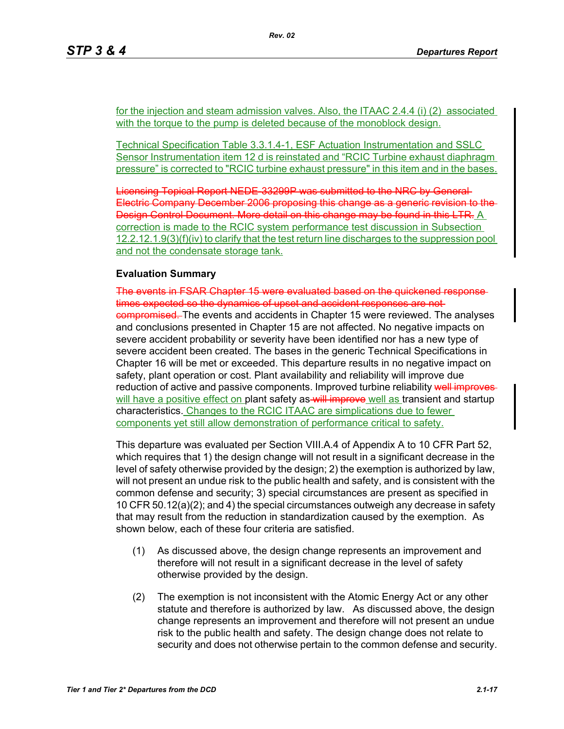for the injection and steam admission valves. Also, the ITAAC 2.4.4 (i) (2) associated with the torque to the pump is deleted because of the monoblock design.

Technical Specification Table 3.3.1.4-1, ESF Actuation Instrumentation and SSLC Sensor Instrumentation item 12 d is reinstated and "RCIC Turbine exhaust diaphragm pressure" is corrected to "RCIC turbine exhaust pressure" in this item and in the bases.

Licensing Topical Report NEDE-33299P was submitted to the NRC by General Electric Company December 2006 proposing this change as a generic revision to the Design Control Document. More detail on this change may be found in this LTR. A correction is made to the RCIC system performance test discussion in Subsection 12.2.12.1.9(3)(f)(iv) to clarify that the test return line discharges to the suppression pool and not the condensate storage tank.

### **Evaluation Summary**

The events in FSAR Chapter 15 were evaluated based on the quickened response times expected so the dynamics of upset and accident responses are notcompromised. The events and accidents in Chapter 15 were reviewed. The analyses and conclusions presented in Chapter 15 are not affected. No negative impacts on severe accident probability or severity have been identified nor has a new type of severe accident been created. The bases in the generic Technical Specifications in Chapter 16 will be met or exceeded. This departure results in no negative impact on safety, plant operation or cost. Plant availability and reliability will improve due reduction of active and passive components. Improved turbine reliability well improves will have a positive effect on plant safety as will improve well as transient and startup characteristics. Changes to the RCIC ITAAC are simplications due to fewer components yet still allow demonstration of performance critical to safety.

This departure was evaluated per Section VIII.A.4 of Appendix A to 10 CFR Part 52, which requires that 1) the design change will not result in a significant decrease in the level of safety otherwise provided by the design; 2) the exemption is authorized by law, will not present an undue risk to the public health and safety, and is consistent with the common defense and security; 3) special circumstances are present as specified in 10 CFR 50.12(a)(2); and 4) the special circumstances outweigh any decrease in safety that may result from the reduction in standardization caused by the exemption. As shown below, each of these four criteria are satisfied.

- (1) As discussed above, the design change represents an improvement and therefore will not result in a significant decrease in the level of safety otherwise provided by the design.
- (2) The exemption is not inconsistent with the Atomic Energy Act or any other statute and therefore is authorized by law. As discussed above, the design change represents an improvement and therefore will not present an undue risk to the public health and safety. The design change does not relate to security and does not otherwise pertain to the common defense and security.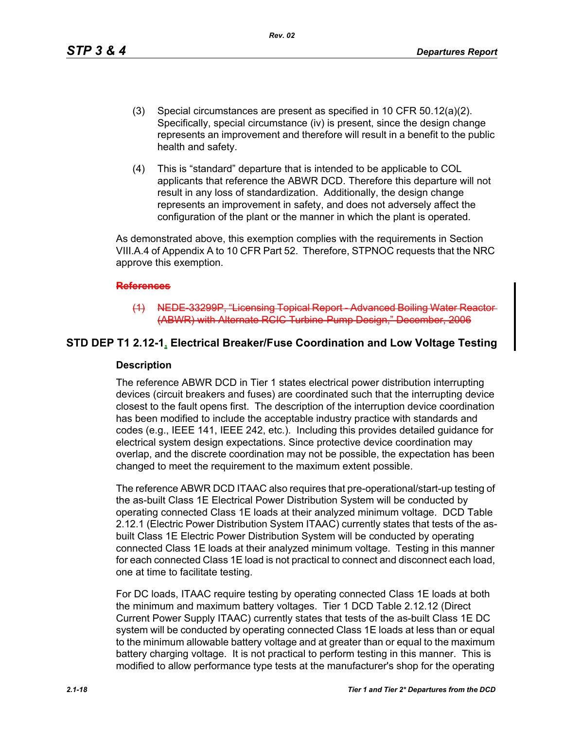*Rev. 02*

- (3) Special circumstances are present as specified in 10 CFR 50.12(a)(2). Specifically, special circumstance (iv) is present, since the design change represents an improvement and therefore will result in a benefit to the public health and safety.
- (4) This is "standard" departure that is intended to be applicable to COL applicants that reference the ABWR DCD. Therefore this departure will not result in any loss of standardization. Additionally, the design change represents an improvement in safety, and does not adversely affect the configuration of the plant or the manner in which the plant is operated.

As demonstrated above, this exemption complies with the requirements in Section VIII.A.4 of Appendix A to 10 CFR Part 52. Therefore, STPNOC requests that the NRC approve this exemption.

#### **References**

(1) NEDE-33299P, "Licensing Topical Report - Advanced Boili (ABWR) with Alternate RCIC Turbine-Pump Design," December, 2006

## **STD DEP T1 2.12-1, Electrical Breaker/Fuse Coordination and Low Voltage Testing**

#### **Description**

The reference ABWR DCD in Tier 1 states electrical power distribution interrupting devices (circuit breakers and fuses) are coordinated such that the interrupting device closest to the fault opens first. The description of the interruption device coordination has been modified to include the acceptable industry practice with standards and codes (e.g., IEEE 141, IEEE 242, etc.). Including this provides detailed guidance for electrical system design expectations. Since protective device coordination may overlap, and the discrete coordination may not be possible, the expectation has been changed to meet the requirement to the maximum extent possible.

The reference ABWR DCD ITAAC also requires that pre-operational/start-up testing of the as-built Class 1E Electrical Power Distribution System will be conducted by operating connected Class 1E loads at their analyzed minimum voltage. DCD Table 2.12.1 (Electric Power Distribution System ITAAC) currently states that tests of the asbuilt Class 1E Electric Power Distribution System will be conducted by operating connected Class 1E loads at their analyzed minimum voltage. Testing in this manner for each connected Class 1E load is not practical to connect and disconnect each load, one at time to facilitate testing.

For DC loads, ITAAC require testing by operating connected Class 1E loads at both the minimum and maximum battery voltages. Tier 1 DCD Table 2.12.12 (Direct Current Power Supply ITAAC) currently states that tests of the as-built Class 1E DC system will be conducted by operating connected Class 1E loads at less than or equal to the minimum allowable battery voltage and at greater than or equal to the maximum battery charging voltage. It is not practical to perform testing in this manner. This is modified to allow performance type tests at the manufacturer's shop for the operating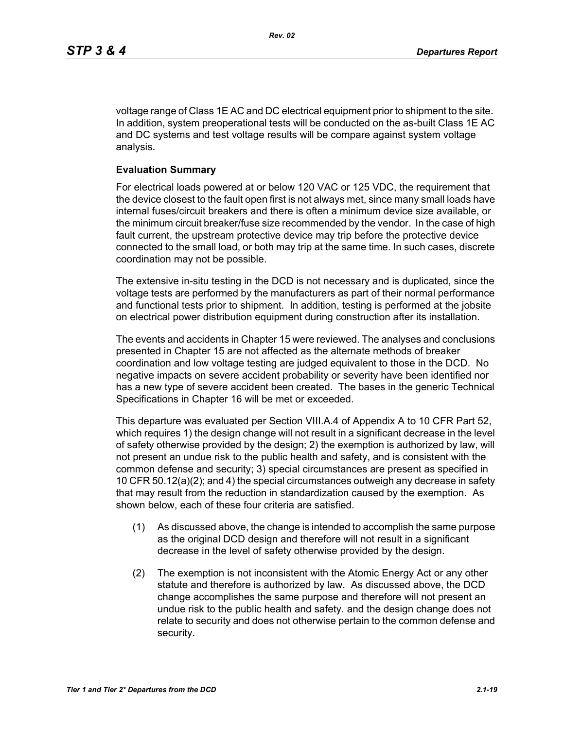voltage range of Class 1E AC and DC electrical equipment prior to shipment to the site. In addition, system preoperational tests will be conducted on the as-built Class 1E AC and DC systems and test voltage results will be compare against system voltage analysis.

#### **Evaluation Summary**

For electrical loads powered at or below 120 VAC or 125 VDC, the requirement that the device closest to the fault open first is not always met, since many small loads have internal fuses/circuit breakers and there is often a minimum device size available, or the minimum circuit breaker/fuse size recommended by the vendor. In the case of high fault current, the upstream protective device may trip before the protective device connected to the small load, or both may trip at the same time. In such cases, discrete coordination may not be possible.

The extensive in-situ testing in the DCD is not necessary and is duplicated, since the voltage tests are performed by the manufacturers as part of their normal performance and functional tests prior to shipment. In addition, testing is performed at the jobsite on electrical power distribution equipment during construction after its installation.

The events and accidents in Chapter 15 were reviewed. The analyses and conclusions presented in Chapter 15 are not affected as the alternate methods of breaker coordination and low voltage testing are judged equivalent to those in the DCD. No negative impacts on severe accident probability or severity have been identified nor has a new type of severe accident been created. The bases in the generic Technical Specifications in Chapter 16 will be met or exceeded.

This departure was evaluated per Section VIII.A.4 of Appendix A to 10 CFR Part 52, which requires 1) the design change will not result in a significant decrease in the level of safety otherwise provided by the design; 2) the exemption is authorized by law, will not present an undue risk to the public health and safety, and is consistent with the common defense and security; 3) special circumstances are present as specified in 10 CFR 50.12(a)(2); and 4) the special circumstances outweigh any decrease in safety that may result from the reduction in standardization caused by the exemption. As shown below, each of these four criteria are satisfied.

- (1) As discussed above, the change is intended to accomplish the same purpose as the original DCD design and therefore will not result in a significant decrease in the level of safety otherwise provided by the design.
- (2) The exemption is not inconsistent with the Atomic Energy Act or any other statute and therefore is authorized by law. As discussed above, the DCD change accomplishes the same purpose and therefore will not present an undue risk to the public health and safety. and the design change does not relate to security and does not otherwise pertain to the common defense and security.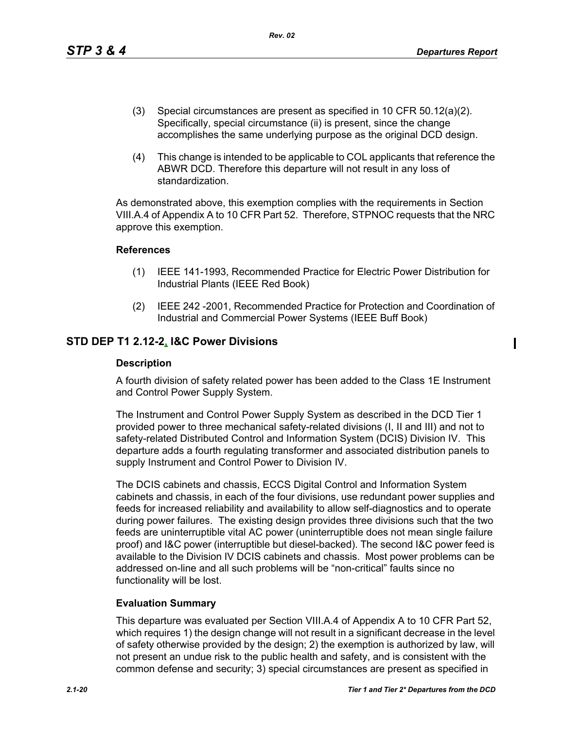$\blacksquare$ 

- (3) Special circumstances are present as specified in 10 CFR 50.12(a)(2). Specifically, special circumstance (ii) is present, since the change accomplishes the same underlying purpose as the original DCD design.
- (4) This change is intended to be applicable to COL applicants that reference the ABWR DCD. Therefore this departure will not result in any loss of standardization.

As demonstrated above, this exemption complies with the requirements in Section VIII.A.4 of Appendix A to 10 CFR Part 52. Therefore, STPNOC requests that the NRC approve this exemption.

## **References**

- (1) IEEE 141-1993, Recommended Practice for Electric Power Distribution for Industrial Plants (IEEE Red Book)
- (2) IEEE 242 -2001, Recommended Practice for Protection and Coordination of Industrial and Commercial Power Systems (IEEE Buff Book)

## **STD DEP T1 2.12-2, I&C Power Divisions**

### **Description**

A fourth division of safety related power has been added to the Class 1E Instrument and Control Power Supply System.

The Instrument and Control Power Supply System as described in the DCD Tier 1 provided power to three mechanical safety-related divisions (I, II and III) and not to safety-related Distributed Control and Information System (DCIS) Division IV. This departure adds a fourth regulating transformer and associated distribution panels to supply Instrument and Control Power to Division IV.

The DCIS cabinets and chassis, ECCS Digital Control and Information System cabinets and chassis, in each of the four divisions, use redundant power supplies and feeds for increased reliability and availability to allow self-diagnostics and to operate during power failures. The existing design provides three divisions such that the two feeds are uninterruptible vital AC power (uninterruptible does not mean single failure proof) and I&C power (interruptible but diesel-backed). The second I&C power feed is available to the Division IV DCIS cabinets and chassis. Most power problems can be addressed on-line and all such problems will be "non-critical" faults since no functionality will be lost.

## **Evaluation Summary**

This departure was evaluated per Section VIII.A.4 of Appendix A to 10 CFR Part 52, which requires 1) the design change will not result in a significant decrease in the level of safety otherwise provided by the design; 2) the exemption is authorized by law, will not present an undue risk to the public health and safety, and is consistent with the common defense and security; 3) special circumstances are present as specified in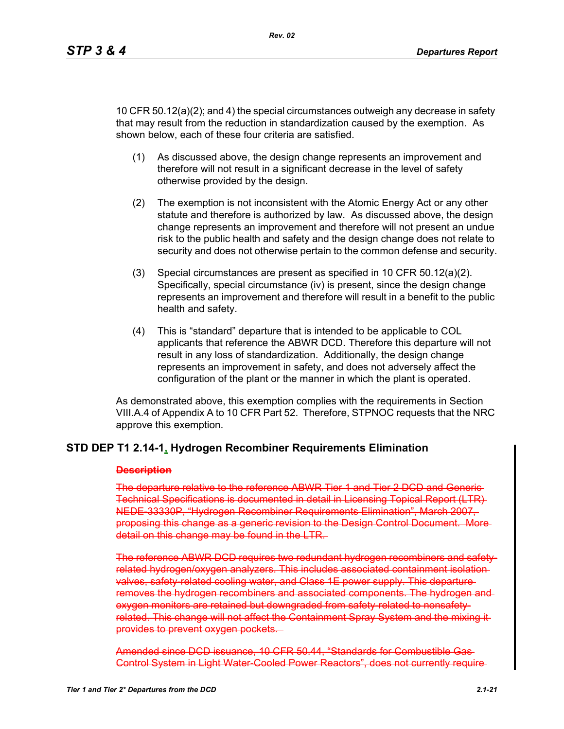10 CFR 50.12(a)(2); and 4) the special circumstances outweigh any decrease in safety that may result from the reduction in standardization caused by the exemption. As shown below, each of these four criteria are satisfied.

- (1) As discussed above, the design change represents an improvement and therefore will not result in a significant decrease in the level of safety otherwise provided by the design.
- (2) The exemption is not inconsistent with the Atomic Energy Act or any other statute and therefore is authorized by law. As discussed above, the design change represents an improvement and therefore will not present an undue risk to the public health and safety and the design change does not relate to security and does not otherwise pertain to the common defense and security.
- (3) Special circumstances are present as specified in 10 CFR 50.12(a)(2). Specifically, special circumstance (iv) is present, since the design change represents an improvement and therefore will result in a benefit to the public health and safety.
- (4) This is "standard" departure that is intended to be applicable to COL applicants that reference the ABWR DCD. Therefore this departure will not result in any loss of standardization. Additionally, the design change represents an improvement in safety, and does not adversely affect the configuration of the plant or the manner in which the plant is operated.

As demonstrated above, this exemption complies with the requirements in Section VIII.A.4 of Appendix A to 10 CFR Part 52. Therefore, STPNOC requests that the NRC approve this exemption.

## **STD DEP T1 2.14-1, Hydrogen Recombiner Requirements Elimination**

#### **Description**

The departure relative to the reference ABWR Tier 1 and Tier 2 DCD and Generic Technical Specifications is documented in detail in Licensing Topical Report (LTR) NEDE-33330P, "Hydrogen Recombiner Requirements Elimination", March 2007, proposing this change as a generic revision to the Design Control Document. More detail on this change may be found in the LTR.

The reference ABWR DCD requires two redundant hydrogen recombiners and safetyrelated hydrogen/oxygen analyzers. This includes associated containment isolation valves, safety related cooling water, and Class 1E power supply. This departureremoves the hydrogen recombiners and associated components. The hydrogen and oxygen monitors are retained but downgraded from safety-related to nonsafetyrelated. This change will not affect the Containment Spray System and the mixing itprovides to prevent oxygen pockets.

Amended since DCD issuance, 10 CFR 50.44, "Standards for Combustible Gas Control System in Light Water-Cooled Power Reactors", does not currently require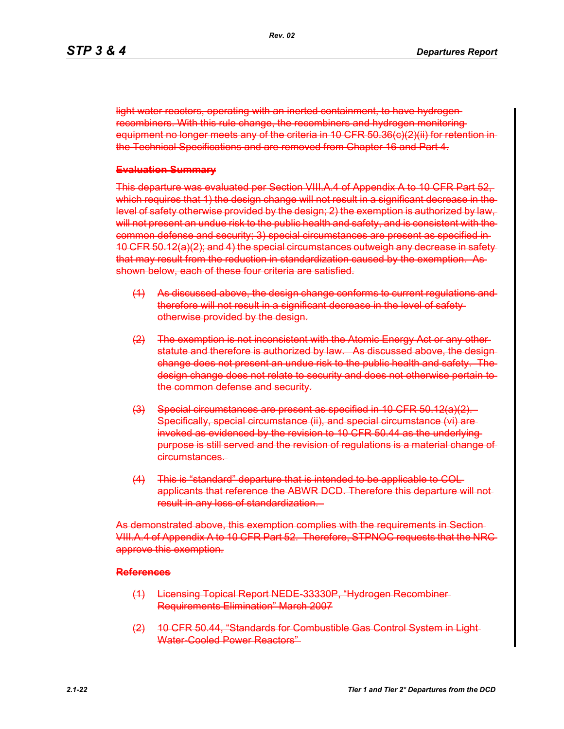light water reactors, operating with an inerted containment, to have hydrogen recombiners. With this rule change, the recombiners and hydrogen monitoring equipment no longer meets any of the criteria in 10 CFR 50.36(c)(2)(ii) for retention in the Technical Specifications and are removed from Chapter 16 and Part 4.

#### **Evaluation Summary**

This departure was evaluated per Section VIII.A.4 of Appendix A to 10 CFR Part 52, which requires that 1) the design change will not result in a significant decrease in the level of safety otherwise provided by the design; 2) the exemption is authorized by law, will not present an undue risk to the public health and safety, and is consistent with the common defense and security; 3) special circumstances are present as specified in 10 CFR 50.12(a)(2); and 4) the special circumstances outweigh any decrease in safety that may result from the reduction in standardization caused by the exemption. As shown below, each of these four criteria are satisfied.

- (1) As discussed above, the design change conforms to current regulations and therefore will not result in a significant decrease in the level of safety otherwise provided by the design.
- (2) The exemption is not inconsistent with the Atomic Energy Act or any other statute and therefore is authorized by law. As discussed above, the design change does not present an undue risk to the public health and safety. The design change does not relate to security and does not otherwise pertain to the common defense and security.
- (3) Special circumstances are present as specified in 10 CFR 50.12(a)(2). Specifically, special circumstance (ii), and special circumstance (vi) are invoked as evidenced by the revision to 10 CFR 50.44 as the underlying purpose is still served and the revision of regulations is a material change of circumstances.
- (4) This is "standard" departure that is intended to be applicable to COL applicants that reference the ABWR DCD. Therefore this departure will not result in any loss of standardization.

As demonstrated above, this exemption complies with the requirements in Section VIII.A.4 of Appendix A to 10 CFR Part 52. Therefore, STPNOC requests that the NRC approve this exemption.

#### **References**

- (1) Licensing Topical Report NEDE-33330P, "Hydrogen Recombiner Requirements Elimination" March 2007
- (2) 10 CFR 50.44, "Standards for Combustible Gas Control System in Light Water-Cooled Power Reactors"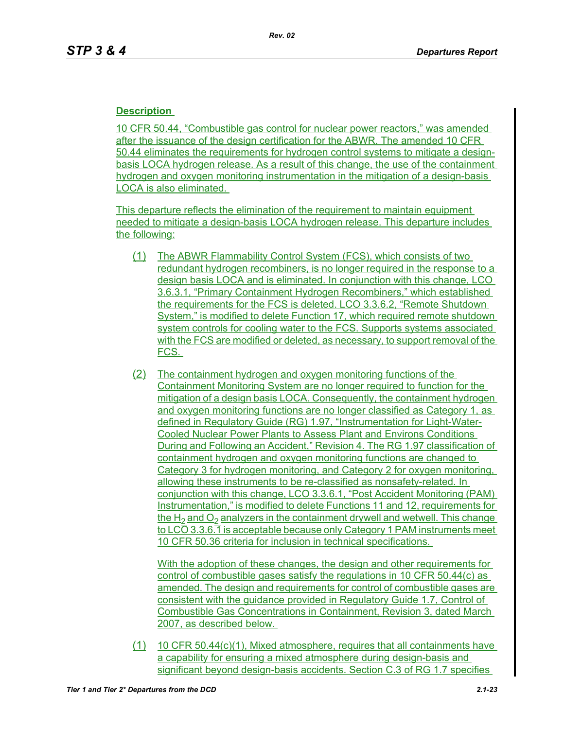## **Description**

10 CFR 50.44, "Combustible gas control for nuclear power reactors," was amended after the issuance of the design certification for the ABWR. The amended 10 CFR 50.44 eliminates the requirements for hydrogen control systems to mitigate a designbasis LOCA hydrogen release. As a result of this change, the use of the containment hydrogen and oxygen monitoring instrumentation in the mitigation of a design-basis LOCA is also eliminated.

This departure reflects the elimination of the requirement to maintain equipment needed to mitigate a design-basis LOCA hydrogen release. This departure includes the following:

- (1) The ABWR Flammability Control System (FCS), which consists of two redundant hydrogen recombiners, is no longer required in the response to a design basis LOCA and is eliminated. In conjunction with this change, LCO 3.6.3.1, "Primary Containment Hydrogen Recombiners," which established the requirements for the FCS is deleted. LCO 3.3.6.2, "Remote Shutdown System," is modified to delete Function 17, which required remote shutdown system controls for cooling water to the FCS. Supports systems associated with the FCS are modified or deleted, as necessary, to support removal of the FCS.
- (2) The containment hydrogen and oxygen monitoring functions of the Containment Monitoring System are no longer required to function for the mitigation of a design basis LOCA. Consequently, the containment hydrogen and oxygen monitoring functions are no longer classified as Category 1, as defined in Regulatory Guide (RG) 1.97, "Instrumentation for Light-Water-Cooled Nuclear Power Plants to Assess Plant and Environs Conditions During and Following an Accident," Revision 4. The RG 1.97 classification of containment hydrogen and oxygen monitoring functions are changed to Category 3 for hydrogen monitoring, and Category 2 for oxygen monitoring, allowing these instruments to be re-classified as nonsafety-related. In conjunction with this change, LCO 3.3.6.1, "Post Accident Monitoring (PAM) Instrumentation," is modified to delete Functions 11 and 12, requirements for the  $H_2$  and  $O_2$  analyzers in the containment drywell and wetwell. This change to LCO 3.3.6.1 is acceptable because only Category 1 PAM instruments meet 10 CFR 50.36 criteria for inclusion in technical specifications.

With the adoption of these changes, the design and other requirements for control of combustible gases satisfy the regulations in 10 CFR 50.44(c) as amended. The design and requirements for control of combustible gases are consistent with the guidance provided in Regulatory Guide 1.7, Control of Combustible Gas Concentrations in Containment, Revision 3, dated March 2007, as described below.

(1) 10 CFR 50.44(c)(1), Mixed atmosphere, requires that all containments have a capability for ensuring a mixed atmosphere during design-basis and significant beyond design-basis accidents. Section C.3 of RG 1.7 specifies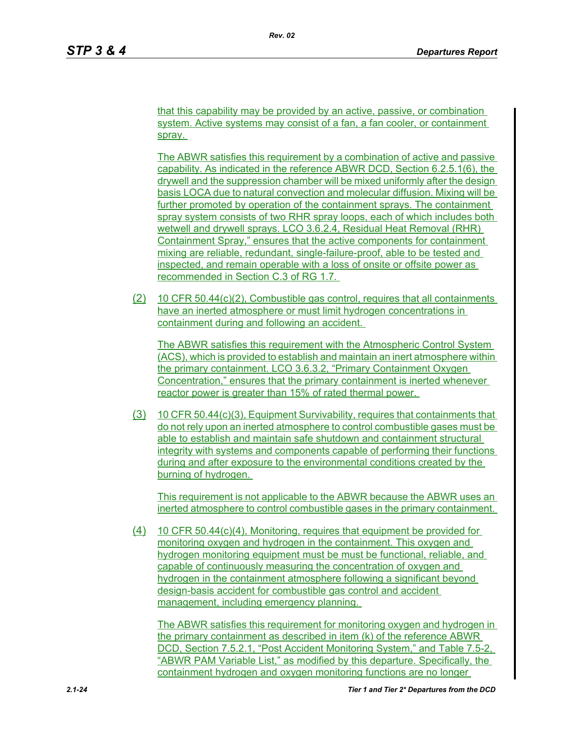that this capability may be provided by an active, passive, or combination system. Active systems may consist of a fan, a fan cooler, or containment spray.

The ABWR satisfies this requirement by a combination of active and passive capability. As indicated in the reference ABWR DCD, Section 6.2.5.1(6), the drywell and the suppression chamber will be mixed uniformly after the design basis LOCA due to natural convection and molecular diffusion. Mixing will be further promoted by operation of the containment sprays. The containment spray system consists of two RHR spray loops, each of which includes both wetwell and drywell sprays. LCO 3.6.2.4, Residual Heat Removal (RHR) Containment Spray," ensures that the active components for containment mixing are reliable, redundant, single-failure-proof, able to be tested and inspected, and remain operable with a loss of onsite or offsite power as recommended in Section C.3 of RG 1.7.

(2) 10 CFR 50.44(c)(2), Combustible gas control, requires that all containments have an inerted atmosphere or must limit hydrogen concentrations in containment during and following an accident.

The ABWR satisfies this requirement with the Atmospheric Control System (ACS), which is provided to establish and maintain an inert atmosphere within the primary containment. LCO 3.6.3.2, "Primary Containment Oxygen Concentration," ensures that the primary containment is inerted whenever reactor power is greater than 15% of rated thermal power.

(3) 10 CFR 50.44(c)(3), Equipment Survivability, requires that containments that do not rely upon an inerted atmosphere to control combustible gases must be able to establish and maintain safe shutdown and containment structural integrity with systems and components capable of performing their functions during and after exposure to the environmental conditions created by the burning of hydrogen.

This requirement is not applicable to the ABWR because the ABWR uses an inerted atmosphere to control combustible gases in the primary containment.

(4) 10 CFR 50.44(c)(4), Monitoring, requires that equipment be provided for monitoring oxygen and hydrogen in the containment. This oxygen and hydrogen monitoring equipment must be must be functional, reliable, and capable of continuously measuring the concentration of oxygen and hydrogen in the containment atmosphere following a significant beyond design-basis accident for combustible gas control and accident management, including emergency planning.

The ABWR satisfies this requirement for monitoring oxygen and hydrogen in the primary containment as described in item (k) of the reference ABWR DCD, Section 7.5.2.1, "Post Accident Monitoring System," and Table 7.5-2, "ABWR PAM Variable List," as modified by this departure. Specifically, the containment hydrogen and oxygen monitoring functions are no longer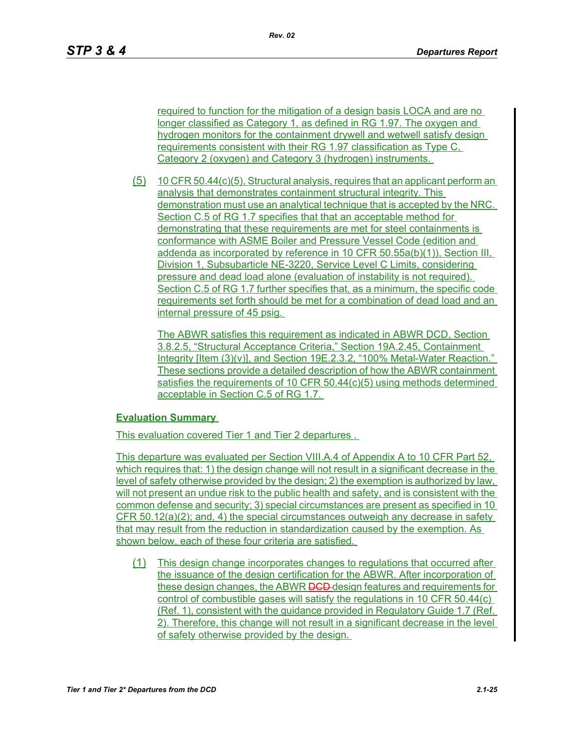required to function for the mitigation of a design basis LOCA and are no longer classified as Category 1, as defined in RG 1.97. The oxygen and hydrogen monitors for the containment drywell and wetwell satisfy design requirements consistent with their RG 1.97 classification as Type C, Category 2 (oxygen) and Category 3 (hydrogen) instruments.

(5) 10 CFR 50.44(c)(5), Structural analysis, requires that an applicant perform an analysis that demonstrates containment structural integrity. This demonstration must use an analytical technique that is accepted by the NRC. Section C.5 of RG 1.7 specifies that that an acceptable method for demonstrating that these requirements are met for steel containments is conformance with ASME Boiler and Pressure Vessel Code (edition and addenda as incorporated by reference in 10 CFR 50.55a(b)(1)), Section III, Division 1, Subsubarticle NE-3220, Service Level C Limits, considering pressure and dead load alone (evaluation of instability is not required). Section C.5 of RG 1.7 further specifies that, as a minimum, the specific code requirements set forth should be met for a combination of dead load and an internal pressure of 45 psig.

The ABWR satisfies this requirement as indicated in ABWR DCD, Section 3.8.2.5, "Structural Acceptance Criteria," Section 19A.2.45, Containment Integrity [Item (3)(v)], and Section 19E.2.3.2, "100% Metal-Water Reaction." These sections provide a detailed description of how the ABWR containment satisfies the requirements of 10 CFR 50.44(c)(5) using methods determined acceptable in Section C.5 of RG 1.7.

## **Evaluation Summary**

This evaluation covered Tier 1 and Tier 2 departures .

This departure was evaluated per Section VIII.A.4 of Appendix A to 10 CFR Part 52, which requires that: 1) the design change will not result in a significant decrease in the level of safety otherwise provided by the design; 2) the exemption is authorized by law, will not present an undue risk to the public health and safety, and is consistent with the common defense and security; 3) special circumstances are present as specified in 10 CFR 50.12(a)(2); and, 4) the special circumstances outweigh any decrease in safety that may result from the reduction in standardization caused by the exemption. As shown below, each of these four criteria are satisfied.

(1) This design change incorporates changes to regulations that occurred after the issuance of the design certification for the ABWR. After incorporation of these design changes, the ABWR **DCD**-design features and requirements for control of combustible gases will satisfy the regulations in 10 CFR 50.44(c) (Ref. 1), consistent with the guidance provided in Regulatory Guide 1.7 (Ref. 2). Therefore, this change will not result in a significant decrease in the level of safety otherwise provided by the design.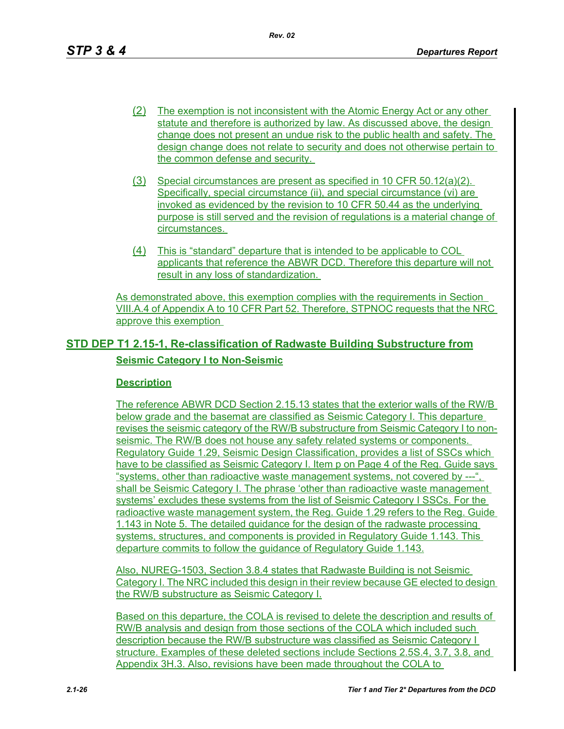- (2) The exemption is not inconsistent with the Atomic Energy Act or any other statute and therefore is authorized by law. As discussed above, the design change does not present an undue risk to the public health and safety. The design change does not relate to security and does not otherwise pertain to the common defense and security.
- (3) Special circumstances are present as specified in 10 CFR 50.12(a)(2). Specifically, special circumstance (ii), and special circumstance (vi) are invoked as evidenced by the revision to 10 CFR 50.44 as the underlying purpose is still served and the revision of regulations is a material change of circumstances.
- (4) This is "standard" departure that is intended to be applicable to COL applicants that reference the ABWR DCD. Therefore this departure will not result in any loss of standardization.

As demonstrated above, this exemption complies with the requirements in Section VIII.A.4 of Appendix A to 10 CFR Part 52. Therefore, STPNOC requests that the NRC approve this exemption

# **STD DEP T1 2.15-1, Re-classification of Radwaste Building Substructure from Seismic Category I to Non-Seismic**

## **Description**

The reference ABWR DCD Section 2.15.13 states that the exterior walls of the RW/B below grade and the basemat are classified as Seismic Category I. This departure revises the seismic category of the RW/B substructure from Seismic Category I to nonseismic. The RW/B does not house any safety related systems or components. Regulatory Guide 1.29, Seismic Design Classification, provides a list of SSCs which have to be classified as Seismic Category I. Item p on Page 4 of the Reg. Guide says "systems, other than radioactive waste management systems, not covered by ---", shall be Seismic Category I. The phrase 'other than radioactive waste management systems' excludes these systems from the list of Seismic Category I SSCs. For the radioactive waste management system, the Reg. Guide 1.29 refers to the Reg. Guide 1.143 in Note 5. The detailed guidance for the design of the radwaste processing systems, structures, and components is provided in Regulatory Guide 1.143. This departure commits to follow the guidance of Regulatory Guide 1.143.

Also, NUREG-1503, Section 3.8.4 states that Radwaste Building is not Seismic Category I. The NRC included this design in their review because GE elected to design the RW/B substructure as Seismic Category I.

Based on this departure, the COLA is revised to delete the description and results of RW/B analysis and design from those sections of the COLA which included such description because the RW/B substructure was classified as Seismic Category I structure. Examples of these deleted sections include Sections 2.5S.4, 3.7, 3.8, and Appendix 3H.3. Also, revisions have been made throughout the COLA to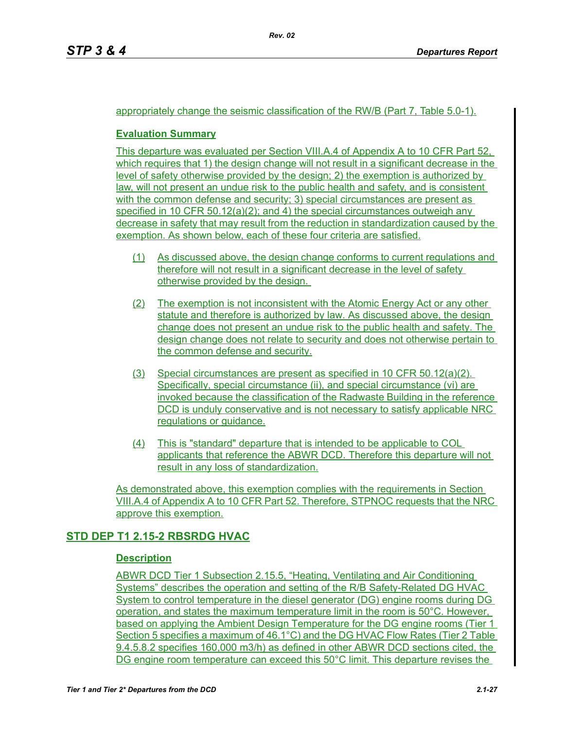## appropriately change the seismic classification of the RW/B (Part 7, Table 5.0-1).

## **Evaluation Summary**

This departure was evaluated per Section VIII.A.4 of Appendix A to 10 CFR Part 52, which requires that 1) the design change will not result in a significant decrease in the level of safety otherwise provided by the design; 2) the exemption is authorized by law, will not present an undue risk to the public health and safety, and is consistent with the common defense and security; 3) special circumstances are present as specified in 10 CFR 50.12(a)(2); and 4) the special circumstances outweigh any decrease in safety that may result from the reduction in standardization caused by the exemption. As shown below, each of these four criteria are satisfied.

- (1) As discussed above, the design change conforms to current regulations and therefore will not result in a significant decrease in the level of safety otherwise provided by the design.
- (2) The exemption is not inconsistent with the Atomic Energy Act or any other statute and therefore is authorized by law. As discussed above, the design change does not present an undue risk to the public health and safety. The design change does not relate to security and does not otherwise pertain to the common defense and security.
- (3) Special circumstances are present as specified in 10 CFR 50.12(a)(2). Specifically, special circumstance (ii), and special circumstance (vi) are invoked because the classification of the Radwaste Building in the reference DCD is unduly conservative and is not necessary to satisfy applicable NRC regulations or guidance.
- (4) This is "standard" departure that is intended to be applicable to COL applicants that reference the ABWR DCD. Therefore this departure will not result in any loss of standardization.

As demonstrated above, this exemption complies with the requirements in Section VIII.A.4 of Appendix A to 10 CFR Part 52. Therefore, STPNOC requests that the NRC approve this exemption.

## **STD DEP T1 2.15-2 RBSRDG HVAC**

## **Description**

ABWR DCD Tier 1 Subsection 2.15.5, "Heating, Ventilating and Air Conditioning Systems" describes the operation and setting of the R/B Safety-Related DG HVAC System to control temperature in the diesel generator (DG) engine rooms during DG operation, and states the maximum temperature limit in the room is 50°C. However, based on applying the Ambient Design Temperature for the DG engine rooms (Tier 1 Section 5 specifies a maximum of 46.1°C) and the DG HVAC Flow Rates (Tier 2 Table 9.4.5.8.2 specifies 160,000 m3/h) as defined in other ABWR DCD sections cited, the DG engine room temperature can exceed this 50°C limit. This departure revises the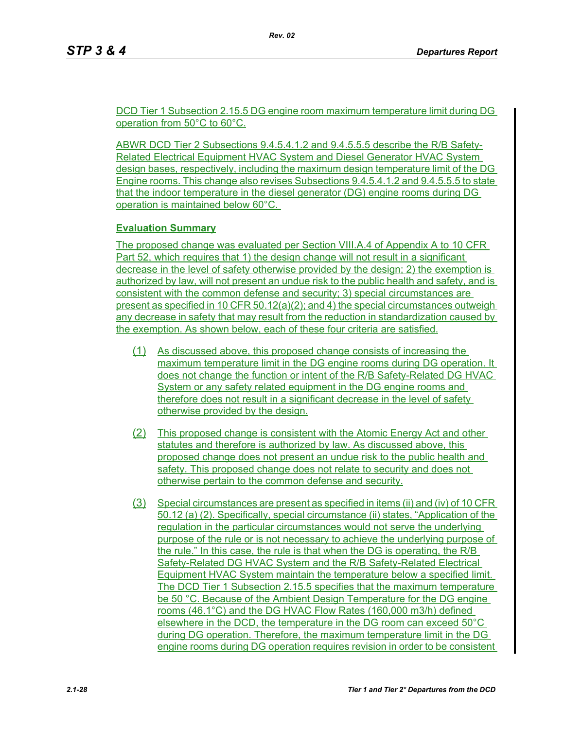DCD Tier 1 Subsection 2.15.5 DG engine room maximum temperature limit during DG operation from 50°C to 60°C.

ABWR DCD Tier 2 Subsections 9.4.5.4.1.2 and 9.4.5.5.5 describe the R/B Safety-Related Electrical Equipment HVAC System and Diesel Generator HVAC System design bases, respectively, including the maximum design temperature limit of the DG Engine rooms. This change also revises Subsections 9.4.5.4.1.2 and 9.4.5.5.5 to state that the indoor temperature in the diesel generator (DG) engine rooms during DG operation is maintained below 60°C.

## **Evaluation Summary**

The proposed change was evaluated per Section VIII.A.4 of Appendix A to 10 CFR Part 52, which requires that 1) the design change will not result in a significant decrease in the level of safety otherwise provided by the design; 2) the exemption is authorized by law, will not present an undue risk to the public health and safety, and is consistent with the common defense and security; 3) special circumstances are present as specified in 10 CFR 50.12(a)(2); and 4) the special circumstances outweigh any decrease in safety that may result from the reduction in standardization caused by the exemption. As shown below, each of these four criteria are satisfied.

- (1) As discussed above, this proposed change consists of increasing the maximum temperature limit in the DG engine rooms during DG operation. It does not change the function or intent of the R/B Safety-Related DG HVAC System or any safety related equipment in the DG engine rooms and therefore does not result in a significant decrease in the level of safety otherwise provided by the design.
- (2) This proposed change is consistent with the Atomic Energy Act and other statutes and therefore is authorized by law. As discussed above, this proposed change does not present an undue risk to the public health and safety. This proposed change does not relate to security and does not otherwise pertain to the common defense and security.
- (3) Special circumstances are present as specified in items (ii) and (iv) of 10 CFR 50.12 (a) (2). Specifically, special circumstance (ii) states, "Application of the regulation in the particular circumstances would not serve the underlying purpose of the rule or is not necessary to achieve the underlying purpose of the rule." In this case, the rule is that when the DG is operating, the R/B Safety-Related DG HVAC System and the R/B Safety-Related Electrical Equipment HVAC System maintain the temperature below a specified limit. The DCD Tier 1 Subsection 2.15.5 specifies that the maximum temperature be 50 °C. Because of the Ambient Design Temperature for the DG engine rooms (46.1°C) and the DG HVAC Flow Rates (160,000 m3/h) defined elsewhere in the DCD, the temperature in the DG room can exceed 50°C during DG operation. Therefore, the maximum temperature limit in the DG engine rooms during DG operation requires revision in order to be consistent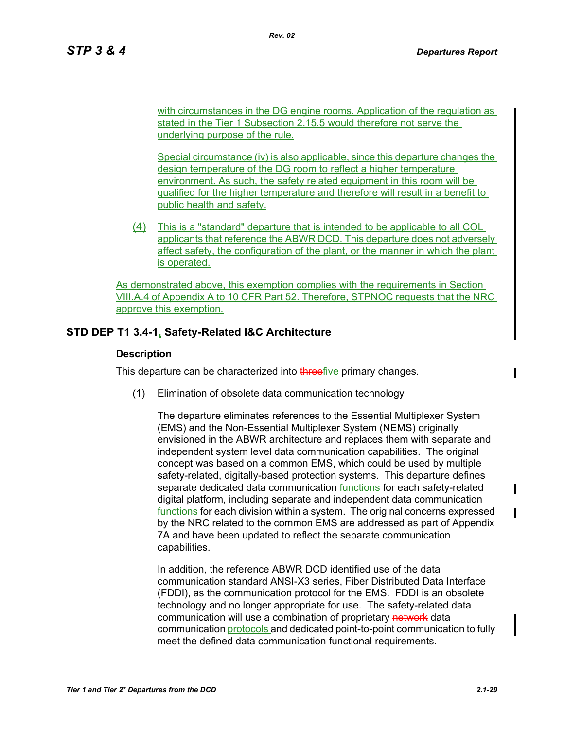with circumstances in the DG engine rooms. Application of the regulation as stated in the Tier 1 Subsection 2.15.5 would therefore not serve the underlying purpose of the rule.

Special circumstance (iv) is also applicable, since this departure changes the design temperature of the DG room to reflect a higher temperature environment. As such, the safety related equipment in this room will be qualified for the higher temperature and therefore will result in a benefit to public health and safety.

(4) This is a "standard" departure that is intended to be applicable to all COL applicants that reference the ABWR DCD. This departure does not adversely affect safety, the configuration of the plant, or the manner in which the plant is operated.

As demonstrated above, this exemption complies with the requirements in Section VIII.A.4 of Appendix A to 10 CFR Part 52. Therefore, STPNOC requests that the NRC approve this exemption.

## **STD DEP T1 3.4-1, Safety-Related I&C Architecture**

### **Description**

This departure can be characterized into threefive primary changes.

(1) Elimination of obsolete data communication technology

The departure eliminates references to the Essential Multiplexer System (EMS) and the Non-Essential Multiplexer System (NEMS) originally envisioned in the ABWR architecture and replaces them with separate and independent system level data communication capabilities. The original concept was based on a common EMS, which could be used by multiple safety-related, digitally-based protection systems. This departure defines separate dedicated data communication functions for each safety-related digital platform, including separate and independent data communication functions for each division within a system. The original concerns expressed by the NRC related to the common EMS are addressed as part of Appendix 7A and have been updated to reflect the separate communication capabilities.

In addition, the reference ABWR DCD identified use of the data communication standard ANSI-X3 series, Fiber Distributed Data Interface (FDDI), as the communication protocol for the EMS. FDDI is an obsolete technology and no longer appropriate for use. The safety-related data communication will use a combination of proprietary network data communication protocols and dedicated point-to-point communication to fully meet the defined data communication functional requirements.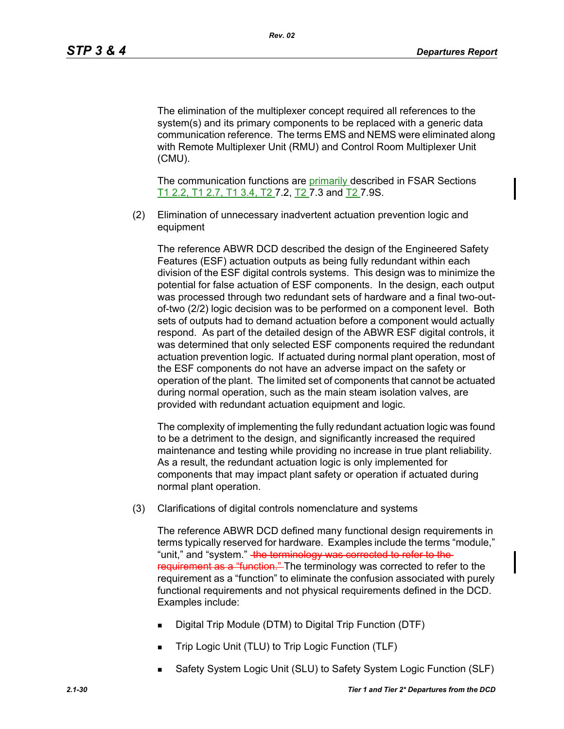The elimination of the multiplexer concept required all references to the system(s) and its primary components to be replaced with a generic data communication reference. The terms EMS and NEMS were eliminated along with Remote Multiplexer Unit (RMU) and Control Room Multiplexer Unit (CMU).

The communication functions are primarily described in FSAR Sections T1 2.2, T1 2.7, T1 3.4, T2 7.2, T2 7.3 and T2 7.9S.

(2) Elimination of unnecessary inadvertent actuation prevention logic and equipment

The reference ABWR DCD described the design of the Engineered Safety Features (ESF) actuation outputs as being fully redundant within each division of the ESF digital controls systems. This design was to minimize the potential for false actuation of ESF components. In the design, each output was processed through two redundant sets of hardware and a final two-outof-two (2/2) logic decision was to be performed on a component level. Both sets of outputs had to demand actuation before a component would actually respond. As part of the detailed design of the ABWR ESF digital controls, it was determined that only selected ESF components required the redundant actuation prevention logic. If actuated during normal plant operation, most of the ESF components do not have an adverse impact on the safety or operation of the plant. The limited set of components that cannot be actuated during normal operation, such as the main steam isolation valves, are provided with redundant actuation equipment and logic.

The complexity of implementing the fully redundant actuation logic was found to be a detriment to the design, and significantly increased the required maintenance and testing while providing no increase in true plant reliability. As a result, the redundant actuation logic is only implemented for components that may impact plant safety or operation if actuated during normal plant operation.

(3) Clarifications of digital controls nomenclature and systems

The reference ABWR DCD defined many functional design requirements in terms typically reserved for hardware. Examples include the terms "module," "unit," and "system." the terminology was corrected to refer to the requirement as a "function." The terminology was corrected to refer to the requirement as a "function" to eliminate the confusion associated with purely functional requirements and not physical requirements defined in the DCD. Examples include:

- Digital Trip Module (DTM) to Digital Trip Function (DTF)
- Trip Logic Unit (TLU) to Trip Logic Function (TLF)
- Safety System Logic Unit (SLU) to Safety System Logic Function (SLF)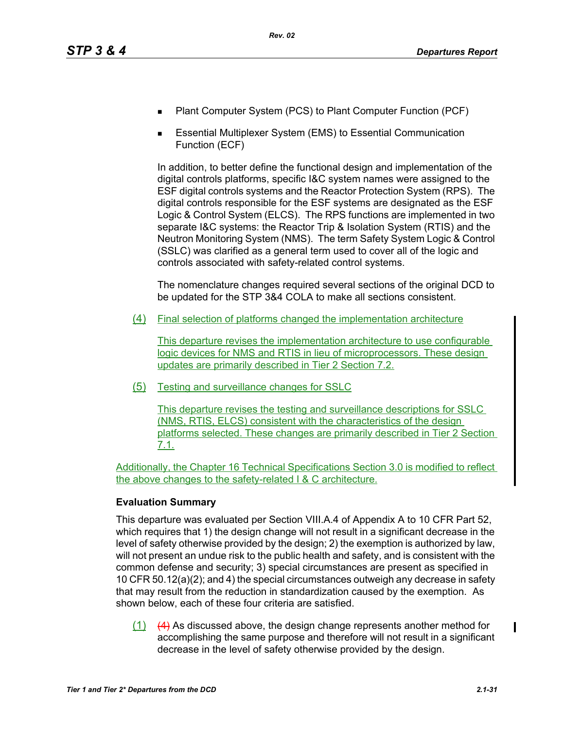- Plant Computer System (PCS) to Plant Computer Function (PCF)
- Essential Multiplexer System (EMS) to Essential Communication Function (ECF)

In addition, to better define the functional design and implementation of the digital controls platforms, specific I&C system names were assigned to the ESF digital controls systems and the Reactor Protection System (RPS). The digital controls responsible for the ESF systems are designated as the ESF Logic & Control System (ELCS). The RPS functions are implemented in two separate I&C systems: the Reactor Trip & Isolation System (RTIS) and the Neutron Monitoring System (NMS). The term Safety System Logic & Control (SSLC) was clarified as a general term used to cover all of the logic and controls associated with safety-related control systems.

The nomenclature changes required several sections of the original DCD to be updated for the STP 3&4 COLA to make all sections consistent.

(4) Final selection of platforms changed the implementation architecture

This departure revises the implementation architecture to use configurable logic devices for NMS and RTIS in lieu of microprocessors. These design updates are primarily described in Tier 2 Section 7.2.

(5) Testing and surveillance changes for SSLC

This departure revises the testing and surveillance descriptions for SSLC (NMS, RTIS, ELCS) consistent with the characteristics of the design platforms selected. These changes are primarily described in Tier 2 Section 7.1.

Additionally, the Chapter 16 Technical Specifications Section 3.0 is modified to reflect the above changes to the safety-related I & C architecture.

## **Evaluation Summary**

This departure was evaluated per Section VIII.A.4 of Appendix A to 10 CFR Part 52, which requires that 1) the design change will not result in a significant decrease in the level of safety otherwise provided by the design; 2) the exemption is authorized by law, will not present an undue risk to the public health and safety, and is consistent with the common defense and security; 3) special circumstances are present as specified in 10 CFR 50.12(a)(2); and 4) the special circumstances outweigh any decrease in safety that may result from the reduction in standardization caused by the exemption. As shown below, each of these four criteria are satisfied.

 $(1)$  (4) As discussed above, the design change represents another method for accomplishing the same purpose and therefore will not result in a significant decrease in the level of safety otherwise provided by the design.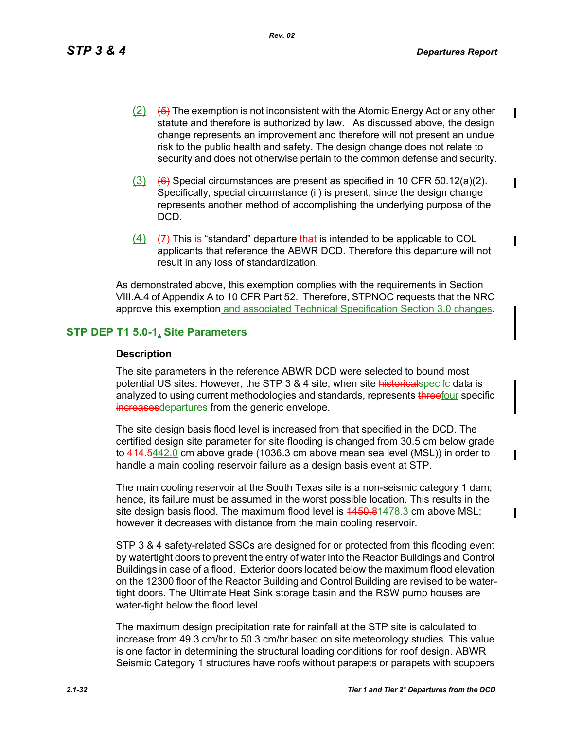*Rev. 02*

 $\mathbf I$ 

 $\mathbf I$ 

Ι

- $(2)$  (5) The exemption is not inconsistent with the Atomic Energy Act or any other statute and therefore is authorized by law. As discussed above, the design change represents an improvement and therefore will not present an undue risk to the public health and safety. The design change does not relate to security and does not otherwise pertain to the common defense and security.
- $(3)$   $(6)$  Special circumstances are present as specified in 10 CFR 50.12(a)(2). Specifically, special circumstance (ii) is present, since the design change represents another method of accomplishing the underlying purpose of the DCD.
- $(4)$   $(7)$  This is "standard" departure that is intended to be applicable to COL applicants that reference the ABWR DCD. Therefore this departure will not result in any loss of standardization.

As demonstrated above, this exemption complies with the requirements in Section VIII.A.4 of Appendix A to 10 CFR Part 52. Therefore, STPNOC requests that the NRC approve this exemption and associated Technical Specification Section 3.0 changes.

## **STP DEP T1 5.0-1, Site Parameters**

#### **Description**

The site parameters in the reference ABWR DCD were selected to bound most potential US sites. However, the STP 3 & 4 site, when site historical specifc data is analyzed to using current methodologies and standards, represents threefour specific increases departures from the generic envelope.

The site design basis flood level is increased from that specified in the DCD. The certified design site parameter for site flooding is changed from 30.5 cm below grade to  $414.5442.0$  cm above grade (1036.3 cm above mean sea level (MSL)) in order to handle a main cooling reservoir failure as a design basis event at STP.

The main cooling reservoir at the South Texas site is a non-seismic category 1 dam; hence, its failure must be assumed in the worst possible location. This results in the site design basis flood. The maximum flood level is  $4450.81478.3$  cm above MSL; however it decreases with distance from the main cooling reservoir.

STP 3 & 4 safety-related SSCs are designed for or protected from this flooding event by watertight doors to prevent the entry of water into the Reactor Buildings and Control Buildings in case of a flood. Exterior doors located below the maximum flood elevation on the 12300 floor of the Reactor Building and Control Building are revised to be watertight doors. The Ultimate Heat Sink storage basin and the RSW pump houses are water-tight below the flood level.

The maximum design precipitation rate for rainfall at the STP site is calculated to increase from 49.3 cm/hr to 50.3 cm/hr based on site meteorology studies. This value is one factor in determining the structural loading conditions for roof design. ABWR Seismic Category 1 structures have roofs without parapets or parapets with scuppers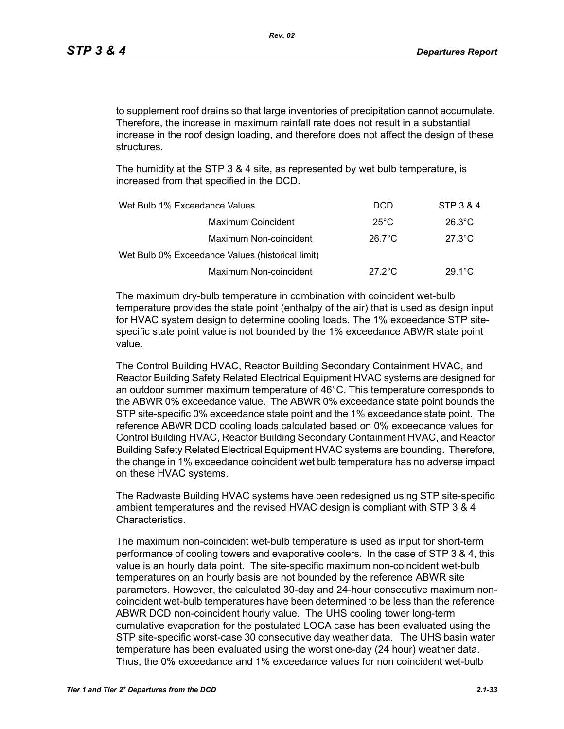to supplement roof drains so that large inventories of precipitation cannot accumulate. Therefore, the increase in maximum rainfall rate does not result in a substantial increase in the roof design loading, and therefore does not affect the design of these structures.

The humidity at the STP 3 & 4 site, as represented by wet bulb temperature, is increased from that specified in the DCD.

| Wet Bulb 1% Exceedance Values                    | <b>DCD</b>       | STP 3 & 4        |
|--------------------------------------------------|------------------|------------------|
| Maximum Coincident                               | $25^{\circ}$ C   | $26.3^{\circ}$ C |
| Maximum Non-coincident                           | $26.7^{\circ}$ C | $27.3^{\circ}$ C |
| Wet Bulb 0% Exceedance Values (historical limit) |                  |                  |
| Maximum Non-coincident                           | $27.2^{\circ}$ C | $29.1^{\circ}$ C |

The maximum dry-bulb temperature in combination with coincident wet-bulb temperature provides the state point (enthalpy of the air) that is used as design input for HVAC system design to determine cooling loads. The 1% exceedance STP sitespecific state point value is not bounded by the 1% exceedance ABWR state point value.

The Control Building HVAC, Reactor Building Secondary Containment HVAC, and Reactor Building Safety Related Electrical Equipment HVAC systems are designed for an outdoor summer maximum temperature of 46°C. This temperature corresponds to the ABWR 0% exceedance value. The ABWR 0% exceedance state point bounds the STP site-specific 0% exceedance state point and the 1% exceedance state point. The reference ABWR DCD cooling loads calculated based on 0% exceedance values for Control Building HVAC, Reactor Building Secondary Containment HVAC, and Reactor Building Safety Related Electrical Equipment HVAC systems are bounding. Therefore, the change in 1% exceedance coincident wet bulb temperature has no adverse impact on these HVAC systems.

The Radwaste Building HVAC systems have been redesigned using STP site-specific ambient temperatures and the revised HVAC design is compliant with STP 3 & 4 Characteristics.

The maximum non-coincident wet-bulb temperature is used as input for short-term performance of cooling towers and evaporative coolers. In the case of STP 3 & 4, this value is an hourly data point. The site-specific maximum non-coincident wet-bulb temperatures on an hourly basis are not bounded by the reference ABWR site parameters. However, the calculated 30-day and 24-hour consecutive maximum noncoincident wet-bulb temperatures have been determined to be less than the reference ABWR DCD non-coincident hourly value. The UHS cooling tower long-term cumulative evaporation for the postulated LOCA case has been evaluated using the STP site-specific worst-case 30 consecutive day weather data. The UHS basin water temperature has been evaluated using the worst one-day (24 hour) weather data. Thus, the 0% exceedance and 1% exceedance values for non coincident wet-bulb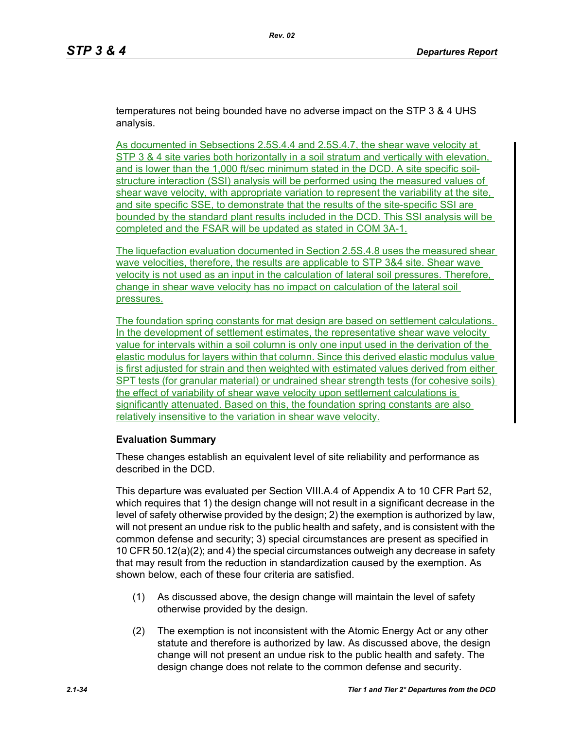temperatures not being bounded have no adverse impact on the STP 3 & 4 UHS analysis.

As documented in Sebsections 2.5S.4.4 and 2.5S.4.7, the shear wave velocity at STP 3 & 4 site varies both horizontally in a soil stratum and vertically with elevation. and is lower than the 1,000 ft/sec minimum stated in the DCD. A site specific soilstructure interaction (SSI) analysis will be performed using the measured values of shear wave velocity, with appropriate variation to represent the variability at the site. and site specific SSE, to demonstrate that the results of the site-specific SSI are bounded by the standard plant results included in the DCD. This SSI analysis will be completed and the FSAR will be updated as stated in COM 3A-1.

The liquefaction evaluation documented in Section 2.5S.4.8 uses the measured shear wave velocities, therefore, the results are applicable to STP 3&4 site. Shear wave velocity is not used as an input in the calculation of lateral soil pressures. Therefore, change in shear wave velocity has no impact on calculation of the lateral soil pressures.

The foundation spring constants for mat design are based on settlement calculations. In the development of settlement estimates, the representative shear wave velocity value for intervals within a soil column is only one input used in the derivation of the elastic modulus for layers within that column. Since this derived elastic modulus value is first adjusted for strain and then weighted with estimated values derived from either SPT tests (for granular material) or undrained shear strength tests (for cohesive soils) the effect of variability of shear wave velocity upon settlement calculations is significantly attenuated. Based on this, the foundation spring constants are also relatively insensitive to the variation in shear wave velocity.

#### **Evaluation Summary**

These changes establish an equivalent level of site reliability and performance as described in the DCD.

This departure was evaluated per Section VIII.A.4 of Appendix A to 10 CFR Part 52, which requires that 1) the design change will not result in a significant decrease in the level of safety otherwise provided by the design; 2) the exemption is authorized by law, will not present an undue risk to the public health and safety, and is consistent with the common defense and security; 3) special circumstances are present as specified in 10 CFR 50.12(a)(2); and 4) the special circumstances outweigh any decrease in safety that may result from the reduction in standardization caused by the exemption. As shown below, each of these four criteria are satisfied.

- (1) As discussed above, the design change will maintain the level of safety otherwise provided by the design.
- (2) The exemption is not inconsistent with the Atomic Energy Act or any other statute and therefore is authorized by law. As discussed above, the design change will not present an undue risk to the public health and safety. The design change does not relate to the common defense and security.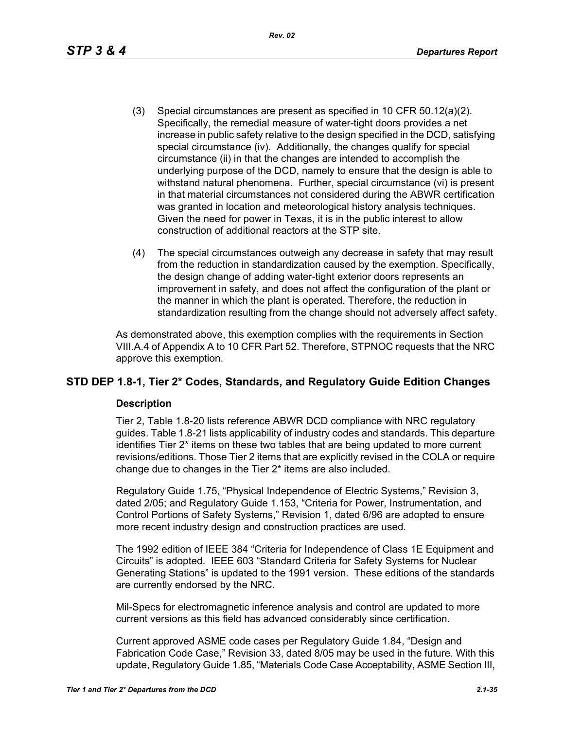*Rev. 02*

- (3) Special circumstances are present as specified in 10 CFR 50.12(a)(2). Specifically, the remedial measure of water-tight doors provides a net increase in public safety relative to the design specified in the DCD, satisfying special circumstance (iv). Additionally, the changes qualify for special circumstance (ii) in that the changes are intended to accomplish the underlying purpose of the DCD, namely to ensure that the design is able to withstand natural phenomena. Further, special circumstance (vi) is present in that material circumstances not considered during the ABWR certification was granted in location and meteorological history analysis techniques. Given the need for power in Texas, it is in the public interest to allow construction of additional reactors at the STP site.
- (4) The special circumstances outweigh any decrease in safety that may result from the reduction in standardization caused by the exemption. Specifically, the design change of adding water-tight exterior doors represents an improvement in safety, and does not affect the configuration of the plant or the manner in which the plant is operated. Therefore, the reduction in standardization resulting from the change should not adversely affect safety.

As demonstrated above, this exemption complies with the requirements in Section VIII.A.4 of Appendix A to 10 CFR Part 52. Therefore, STPNOC requests that the NRC approve this exemption.

## **STD DEP 1.8-1, Tier 2\* Codes, Standards, and Regulatory Guide Edition Changes**

#### **Description**

Tier 2, Table 1.8-20 lists reference ABWR DCD compliance with NRC regulatory guides. Table 1.8-21 lists applicability of industry codes and standards. This departure identifies Tier 2\* items on these two tables that are being updated to more current revisions/editions. Those Tier 2 items that are explicitly revised in the COLA or require change due to changes in the Tier 2\* items are also included.

Regulatory Guide 1.75, "Physical Independence of Electric Systems," Revision 3, dated 2/05; and Regulatory Guide 1.153, "Criteria for Power, Instrumentation, and Control Portions of Safety Systems," Revision 1, dated 6/96 are adopted to ensure more recent industry design and construction practices are used.

The 1992 edition of IEEE 384 "Criteria for Independence of Class 1E Equipment and Circuits" is adopted. IEEE 603 "Standard Criteria for Safety Systems for Nuclear Generating Stations" is updated to the 1991 version. These editions of the standards are currently endorsed by the NRC.

Mil-Specs for electromagnetic inference analysis and control are updated to more current versions as this field has advanced considerably since certification.

Current approved ASME code cases per Regulatory Guide 1.84, "Design and Fabrication Code Case," Revision 33, dated 8/05 may be used in the future. With this update, Regulatory Guide 1.85, "Materials Code Case Acceptability, ASME Section III,